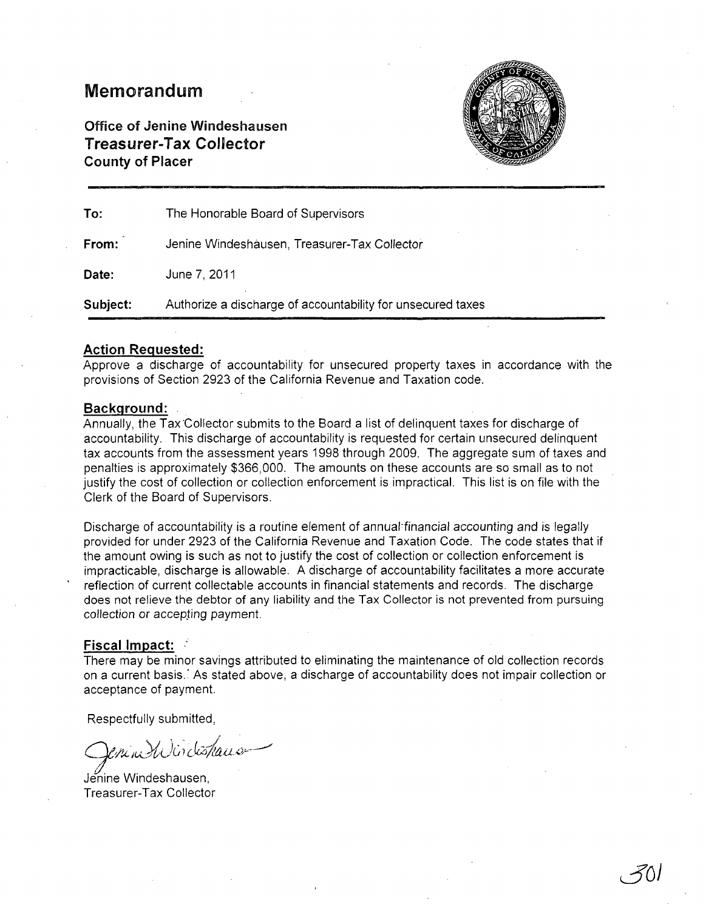## Memorandum

Office of Jenine Windeshausen Treasurer-Tax Collector County of Placer



| To:      | The Honorable Board of Supervisors                          |
|----------|-------------------------------------------------------------|
| From:    | Jenine Windeshausen, Treasurer-Tax Collector                |
| Date:    | June 7, 2011                                                |
| Subject: | Authorize a discharge of accountability for unsecured taxes |

#### Action Requested:

Approve a discharge of accountability for unsecured property taxes in accordance with the provisions of Section 2923 of the California Revenue and Taxation code.

#### Background:

Annually, the Tax "Collector submits to the Board a list of delinquent taxes for discharge of accountability. This discharge of accountability is requested for certain unsecured delinquent tax accounts from the assessment years 1998 through 2009. The aggregate sum of taxes and penalties is approximately \$366,000. The amounts on these accounts are so small as to not justify the cost of collection or collection enforcement is impractical. This list is on file with the Clerk of the Board of Supervisors.

Discharge of accountability is a routine element of annual:financial accounting and is legally provided for under 2923 of the California Revenue and Taxation Code. The code states that if the amount owing is such as not to justify the cost of collection or collection enforcement is impracticable, discharge is allowable. A discharge of accountability facilitates a more accurate reflection of current collectable accounts in financial statements and records. The discharge does not relieve the debtor of any liability and the Tax Collector is not prevented from pursuing collection or accepting payment.

#### Fiscal Impact:

There may be minor savings attributed to eliminating the maintenance of old collection records on a current basis.<sup>:</sup> As stated above, a discharge of accountability does not impair collection or acceptance of payment.

Respectfully submitted,

*9/kiuJiJ(;; clak"'"---'* 

Jenine Windeshausen, Treasurer-Tax Collector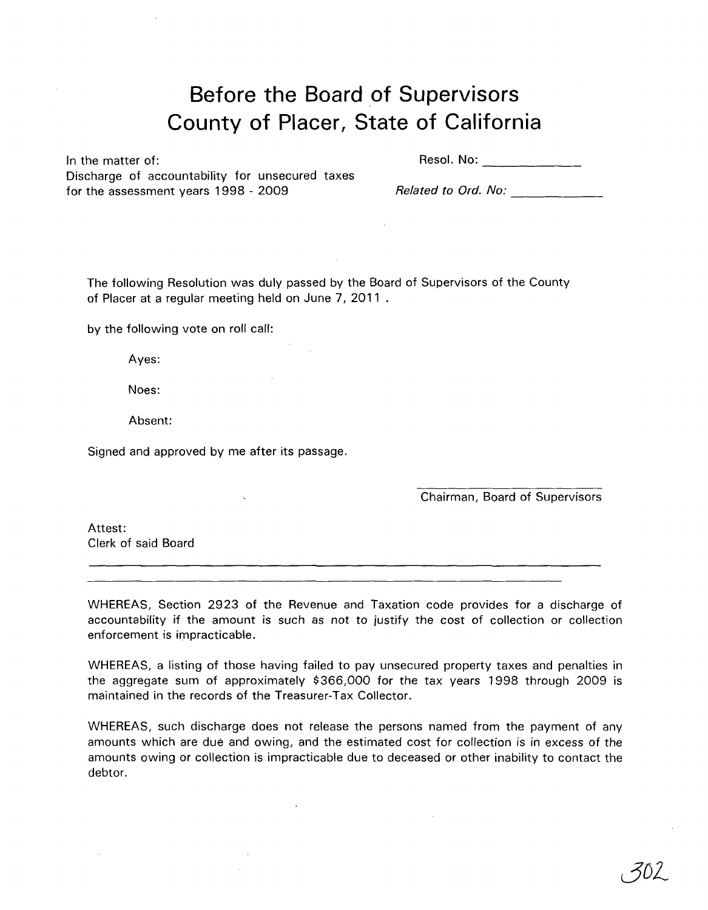# **Before the Board of Supervisors County of Placer, State of California**

 $\mathcal{L}$ 

In the matter of: Discharge of accountability for unsecured taxes for the assessment years 1998 - 2009

Resol. No: **with a set of the set of the set of the set of the set of the set of the set of the set of the set of the set of the set of the set of the set of the set of the set of the set of the set of the set of the set o** 

*Related to Ord. No:*  $-$ 

The following Resolution was duly passed by the Board of Supervisors of the County of Placer at a regular meeting held on June 7, 2011

by the following vote on roll call:

Ayes:

Noes:

Absent:

Signed and approved by me after its passage.

Chairman, Board of Supervisors

Attest: Clerk of said Board

WHEREAS, Section 2923 of the Revenue and Taxation code provides for a discharge of accountability if the amount is such as not *to* justify the cost of collection or collection enforcement is impracticable.

WHEREAS, a listing of those having failed to pay unsecured property taxes and penalties in the aggregate sum of approximately \$366,000 for the tax years 1998 through 2009 is maintained in the records of the Treasurer-Tax Collector.

WHEREAS, such discharge does not release the persons named from the payment of any amounts which are due and owing, and the estimated cost for collection is in excess of the amounts owing or collection is impracticable due to deceased or other inability to contact the debtor.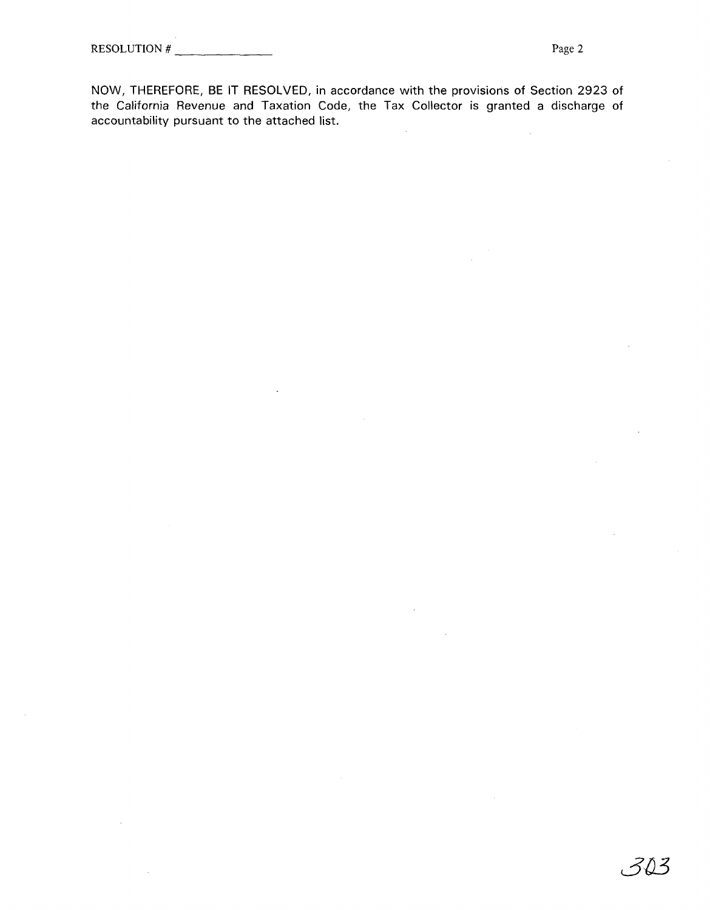NOW, THEREFORE, BE IT RESOLVED, in accordance with the provisions of Section 2923 of the California Revenue and Taxation Code, the Tax Collector is granted a discharge of accountability pursuant to the attached list.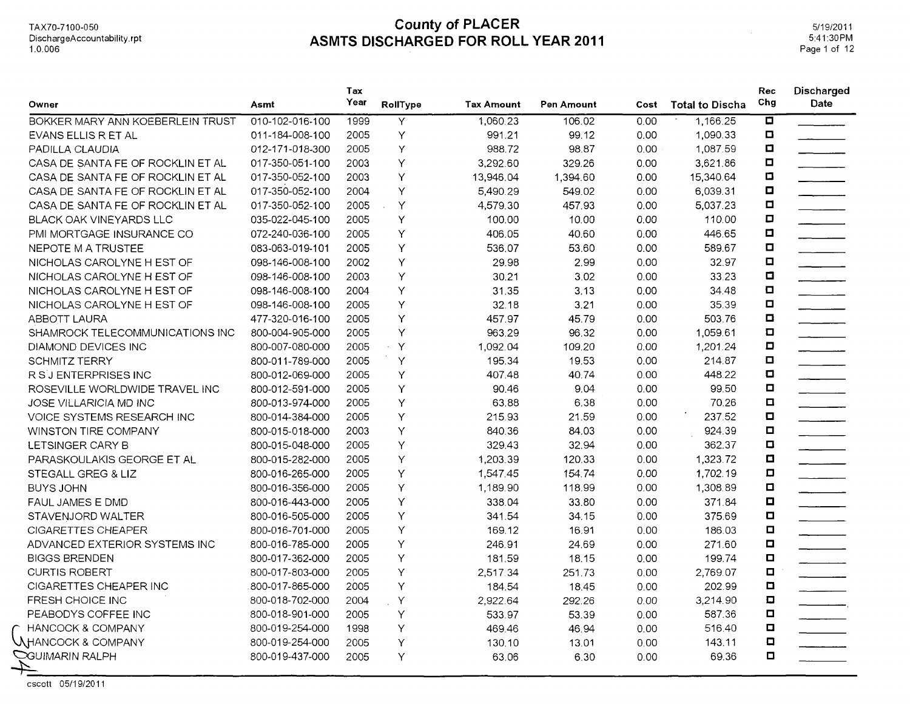| Owner                             | Asmt            | Tax<br>Year | RollType     | <b>Tax Amount</b> | Pen Amount | Cost | <b>Total to Discha</b> | Rec<br>Chg     | Discharged<br>Date                                                  |
|-----------------------------------|-----------------|-------------|--------------|-------------------|------------|------|------------------------|----------------|---------------------------------------------------------------------|
| BOKKER MARY ANN KOEBERLEIN TRUST  | 010-102-016-100 | 1999        | Y            | 1,060.23          | 106.02     | 0.00 | 1.166.25               | 0              |                                                                     |
| EVANS ELLIS R ET AL               | 011-184-008-100 | 2005        | Y            | 991.21            | 99.12      | 0.00 | 1,090.33               | O              |                                                                     |
| PADILLA CLAUDIA                   | 012-171-018-300 | 2005        | Y            | 988.72            | 98.87      | 0.00 | 1,087.59               | Ο              |                                                                     |
| CASA DE SANTA FE OF ROCKLIN ET AL | 017-350-051-100 | 2003        | Υ            | 3,292.60          | 329.26     | 0.00 | 3,621.86               | Ω              |                                                                     |
| CASA DE SANTA FE OF ROCKLIN ET AL | 017-350-052-100 | 2003        | Υ            | 13,946.04         | 1,394.60   | 0.00 | 15,340.64              | ο              |                                                                     |
| CASA DE SANTA FE OF ROCKLIN ET AL | 017-350-052-100 | 2004        | Y            | 5,490.29          | 549.02     | 0.00 | 6,039.31               | о              |                                                                     |
| CASA DE SANTA FE OF ROCKLIN ET AL | 017-350-052-100 | 2005        | Y            | 4,579.30          | 457.93     | 0.00 | 5,037.23               | □              |                                                                     |
| <b>BLACK OAK VINEYARDS LLC</b>    | 035-022-045-100 | 2005        | Y            | 100.00            | 10.00      | 0.00 | 110.00                 | □              |                                                                     |
| PMI MORTGAGE INSURANCE CO         | 072-240-036-100 | 2005        | Υ            | 406.05            | 40.60      | 0.00 | 446.65                 | $\Box$         |                                                                     |
| NEPOTE M A TRUSTEE                | 083-063-019-101 | 2005        | Υ            | 536.07            | 53.60      | 0.00 | 589.67                 | $\Box$         |                                                                     |
| NICHOLAS CAROLYNE H EST OF        | 098-146-008-100 | 2002        | Y            | 29.98             | 2.99       | 0.00 | 32.97                  | α              |                                                                     |
| NICHOLAS CAROLYNE H EST OF        | 098-146-008-100 | 2003        | Y            | 30.21             | 3.02       | 0.00 | 33.23                  | $\blacksquare$ |                                                                     |
| NICHOLAS CAROLYNE H EST OF        | 098-146-008-100 | 2004        | Υ            | 31.35             | 3.13       | 0.00 | 34.48                  | $\Box$         |                                                                     |
| NICHOLAS CAROLYNE H EST OF        | 098-146-008-100 | 2005        | Y            | 32.18             | 3.21       | 0.00 | 35.39                  | $\Box$         |                                                                     |
| ABBOTT LAURA                      | 477-320-016-100 | 2005        | Υ            | 457.97            | 45.79      | 0.00 | 503.76                 | $\Box$         |                                                                     |
| SHAMROCK TELECOMMUNICATIONS INC   | 800-004-905-000 | 2005        | Υ            | 963.29            | 96.32      | 0.00 | 1,059.61               | $\Box$         |                                                                     |
| DIAMOND DEVICES INC               | 800-007-080-000 | 2005        | $\mathsf{Y}$ | 1,092.04          | 109.20     | 0.00 | 1,201.24               | O              |                                                                     |
| <b>SCHMITZ TERRY</b>              | 800-011-789-000 | 2005        | Υ            | 195.34            | 19.53      | 0.00 | 214.87                 | $\Box$         |                                                                     |
| R S J ENTERPRISES INC             | 800-012-069-000 | 2005        | Υ            | 407.48            | 40.74      | 0.00 | 448.22                 | O              |                                                                     |
| ROSEVILLE WORLDWIDE TRAVEL INC    | 800-012-591-000 | 2005        | Υ            | 90.46             | 9.04       | 0.00 | 99.50                  | $\Box$         |                                                                     |
| <b>JOSE VILLARICIA MD INC</b>     | 800-013-974-000 | 2005        | Υ            | 63.88             | 6.38       | 0.00 | 70.26                  | $\Box$         |                                                                     |
| VOICE SYSTEMS RESEARCH INC        | 800-014-384-000 | 2005        | Y            | 215.93            | 21.59      | 0.00 | 237.52                 | $\Box$         |                                                                     |
| WINSTON TIRE COMPANY              | 800-015-018-000 | 2003        | Y            | 840.36            | 84.03      | 0.00 | 924.39                 | $\Box$         |                                                                     |
| LETSINGER CARY B                  | 800-015-048-000 | 2005        | Y            | 329.43            | 32.94      | 0.00 | 362.37                 | $\Box$         |                                                                     |
| PARASKOULAKIS GEORGE ET AL        | 800-015-282-000 | 2005        | Y            | 1,203.39          | 120.33     | 0.00 | 1,323.72               | O              |                                                                     |
| STEGALL GREG & LIZ                | 800-016-265-000 | 2005        | Υ            | 1,547.45          | 154.74     | 0.00 | 1,702.19               | $\Box$         |                                                                     |
| <b>BUYS JOHN</b>                  | 800-016-356-000 | 2005        | Υ            | 1,189.90          | 118.99     | 0.00 | 1,308.89               | $\Box$         |                                                                     |
| <b>FAUL JAMES E DMD</b>           | 800-016-443-000 | 2005        | Υ            | 338.04            | 33.80      | 0.00 | 371.84                 | O              | $\overline{\phantom{a}}$ . The contract of $\overline{\phantom{a}}$ |
| STAVENJORD WALTER                 | 800-016-505-000 | 2005        | Y            | 341.54            | 34.15      | 0.00 | 375.69                 | $\blacksquare$ |                                                                     |
| <b>CIGARETTES CHEAPER</b>         | 800-016-701-000 | 2005        | Υ            | 169.12            | 16.91      | 0.00 | 186.03                 | $\Box$         |                                                                     |
| ADVANCED EXTERIOR SYSTEMS INC     | 800-016-785-000 | 2005        | Υ            | 246.91            | 24.69      | 0.00 | 271.60                 | $\Box$         |                                                                     |
| <b>BIGGS BRENDEN</b>              | 800-017-362-000 | 2005        | Υ            | 181.59            | 18.15      | 0.00 | 199.74                 | $\blacksquare$ |                                                                     |
| <b>CURTIS ROBERT</b>              | 800-017-803-000 | 2005        | Υ            | 2,517.34          | 251.73     | 0.00 | 2,769.07               | α              |                                                                     |
| CIGARETTES CHEAPER INC            | 800-017-865-000 | 2005        | Y            | 184.54            | 18.45      | 0.00 | 202.99                 | O              |                                                                     |
| <b>FRESH CHOICE INC</b>           | 800-018-702-000 | 2004        | Y            | 2,922.64          | 292.26     | 0.00 | 3,214.90               | $\Box$         | $\overline{\phantom{iiiiiiiiiiiiiii}}$                              |
| PEABODYS COFFEE INC               | 800-018-901-000 | 2005        | Y            | 533.97            | 53.39      | 0.00 | 587.36                 | о              |                                                                     |
| <b>F HANCOCK &amp; COMPANY</b>    | 800-019-254-000 | 1998        | Υ            | 469.46            | 46.94      | 0.00 | 516.40                 | α              |                                                                     |
| <b>NHANCOCK &amp; COMPANY</b>     | 800-019-254-000 | 2005        | Υ            | 130.10            | 13.01      | 0.00 | 143.11                 | $\Box$         |                                                                     |
| <b>CGUIMARIN RALPH</b>            | 800-019-437-000 | 2005        | Υ            | 63.06             | 6.30       | 0.00 | 69.36                  | $\Box$         |                                                                     |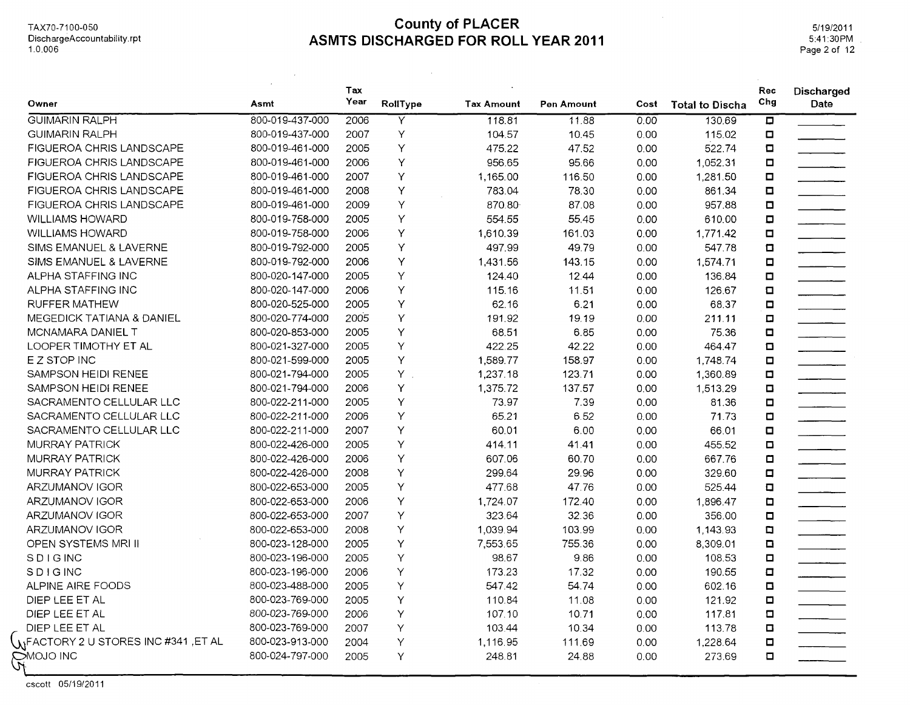$\sim 100$ 

 $\mathcal{L}_{\mathrm{eff}}$ 

5/19/2011 5:41:30PM Page 2 of 12

|                                             |                 | Tax  |                         |                   |            |      |                        | Rec                     | Discharged                                                                                   |
|---------------------------------------------|-----------------|------|-------------------------|-------------------|------------|------|------------------------|-------------------------|----------------------------------------------------------------------------------------------|
| Owner                                       | Asmt            | Year | RollType                | <b>Tax Amount</b> | Pen Amount | Cost | <b>Total to Discha</b> | Chg                     | Date                                                                                         |
| <b>GUIMARIN RALPH</b>                       | 800-019-437-000 | 2006 | $\overline{\mathsf{Y}}$ | 118.81            | 11.88      | 0.00 | 130.69                 | $\overline{\mathbf{u}}$ |                                                                                              |
| <b>GUIMARIN RALPH</b>                       | 800-019-437-000 | 2007 | Υ                       | 104.57            | 10.45      | 0.00 | 115.02                 | $\Box$                  |                                                                                              |
| FIGUEROA CHRIS LANDSCAPE                    | 800-019-461-000 | 2005 | Υ                       | 475.22            | 47.52      | 0.00 | 522.74                 | $\Box$                  |                                                                                              |
| FIGUEROA CHRIS LANDSCAPE                    | 800-019-461-000 | 2006 | Υ                       | 956.65            | 95.66      | 0.00 | 1,052.31               | $\Box$                  |                                                                                              |
| <b>FIGUEROA CHRIS LANDSCAPE</b>             | 800-019-461-000 | 2007 | Υ                       | 1,165.00          | 116.50     | 0.00 | 1,281.50               | $\Box$                  |                                                                                              |
| FIGUEROA CHRIS LANDSCAPE                    | 800-019-461-000 | 2008 | Υ                       | 783.04            | 78.30      | 0.00 | 861.34                 | $\Box$                  | <u>and the second second</u>                                                                 |
| FIGUEROA CHRIS LANDSCAPE                    | 800-019-461-000 | 2009 | Υ                       | 870.80            | 87.08      | 0.00 | 957.88                 | $\Box$                  | $\overline{\phantom{a}}$                                                                     |
| <b>WILLIAMS HOWARD</b>                      | 800-019-758-000 | 2005 | Υ                       | 554.55            | 55.45      | 0.00 | 610.00                 | $\Box$                  | <u> Territoria de la </u>                                                                    |
| <b>WILLIAMS HOWARD</b>                      | 800-019-758-000 | 2006 | Υ                       | 1,610.39          | 161.03     | 0.00 | 1,771.42               | $\Box$                  |                                                                                              |
| SIMS EMANUEL & LAVERNE                      | 800-019-792-000 | 2005 | Υ                       | 497.99            | 49.79      | 0.00 | 547.78                 | $\blacksquare$          |                                                                                              |
| SIMS EMANUEL & LAVERNE                      | 800-019-792-000 | 2006 | Υ                       | 1,431.56          | 143.15     | 0.00 | 1,574.71               | $\Box$                  | $\overline{\phantom{a}}$                                                                     |
| ALPHA STAFFING INC                          | 800-020-147-000 | 2005 | Υ                       | 124.40            | 12.44      | 0.00 | 136.84                 | O                       | $\overline{\phantom{a}}$                                                                     |
| ALPHA STAFFING INC                          | 800-020-147-000 | 2006 | Υ                       | 115.16            | 11.51      | 0.00 | 126.67                 | $\Box$                  | $\mathcal{L}^{\text{max}}_{\text{max}}$ . The set of $\mathcal{L}^{\text{max}}_{\text{max}}$ |
| <b>RUFFER MATHEW</b>                        | 800-020-525-000 | 2005 | Υ                       | 62.16             | 6.21       | 0.00 | 68.37                  | $\Box$                  |                                                                                              |
| MEGEDICK TATIANA & DANIEL                   | 800-020-774-000 | 2005 | Υ                       | 191.92            | 19.19      | 0.00 | 211.11                 | $\Box$                  | <u> 1980 - Andrew Barnett, ameri</u> kansk fotball                                           |
| MCNAMARA DANIEL T                           | 800-020-853-000 | 2005 | Υ                       | 68.51             | 6.85       | 0.00 | 75.36                  | $\Box$                  | $\overline{\phantom{a}}$                                                                     |
| LOOPER TIMOTHY ET AL                        | 800-021-327-000 | 2005 | Υ                       | 422.25            | 42.22      | 0.00 | 464.47                 | $\Box$                  |                                                                                              |
| E Z STOP INC                                | 800-021-599-000 | 2005 | Υ                       | 1,589.77          | 158.97     | 0.00 | 1,748.74               | $\Box$                  | $\overline{\phantom{a}}$                                                                     |
| SAMPSON HEIDI RENEE                         | 800-021-794-000 | 2005 | $Y$ .                   | 1,237.18          | 123.71     | 0.00 | 1,360.89               | $\Box$                  |                                                                                              |
| SAMPSON HEIDI RENEE                         | 800-021-794-000 | 2006 | Υ                       | 1,375.72          | 137.57     | 0.00 | 1,513.29               | O                       |                                                                                              |
| SACRAMENTO CELLULAR LLC                     | 800-022-211-000 | 2005 | Y                       | 73.97             | 7.39       | 0.00 | 81.36                  | $\Box$                  |                                                                                              |
| SACRAMENTO CELLULAR LLC                     | 800-022-211-000 | 2006 | Υ                       | 65.21             | 6.52       | 0.00 | 71.73                  | $\Box$                  | $\overline{\phantom{a}}$                                                                     |
| SACRAMENTO CELLULAR LLC                     | 800-022-211-000 | 2007 | Υ                       | 60.01             | 6.00       | 0.00 | 66.01                  | $\Box$                  |                                                                                              |
| MURRAY PATRICK                              | 800-022-426-000 | 2005 | Υ                       | 414.11            | 41.41      | 0.00 | 455.52                 | $\blacksquare$          |                                                                                              |
| <b>MURRAY PATRICK</b>                       | 800-022-426-000 | 2006 | Υ                       | 607.06            | 60.70      | 0.00 | 667.76                 | α                       |                                                                                              |
| <b>MURRAY PATRICK</b>                       | 800-022-426-000 | 2008 | Υ                       | 299.64            | 29.96      | 0.00 | 329.60                 | $\Box$                  |                                                                                              |
| ARZUMANOV IGOR                              | 800-022-653-000 | 2005 | Υ                       | 477.68            | 47.76      | 0.00 | 525.44                 | $\Box$                  |                                                                                              |
| ARZUMANOV IGOR                              | 800-022-653-000 | 2006 | Υ                       | 1,724.07          | 172.40     | 0.00 | 1,896.47               | $\Box$                  |                                                                                              |
| ARZUMANOV IGOR                              | 800-022-653-000 | 2007 | Υ                       | 323.64            | 32.36      | 0.00 | 356.00                 | $\Box$                  | $\overline{\phantom{a}}$                                                                     |
| ARZUMANOV IGOR                              | 800-022-653-000 | 2008 | Υ                       | 1,039.94          | 103.99     | 0.00 | 1,143.93               | o                       |                                                                                              |
| OPEN SYSTEMS MRI II                         | 800-023-128-000 | 2005 | Υ                       | 7,553.65          | 755.36     | 0.00 | 8,309.01               | O                       | $\mathcal{L} = \mathcal{L}$                                                                  |
| <b>SDIGINC</b>                              | 800-023-196-000 | 2005 | Y                       | 98.67             | 9.86       | 0.00 | 108.53                 | $\Box$                  |                                                                                              |
| <b>SDIGING</b>                              | 800-023-196-000 | 2006 | Υ                       | 173.23            | 17.32      | 0.00 | 190.55                 | $\Box$                  |                                                                                              |
| ALPINE AIRE FOODS                           | 800-023-488-000 | 2005 | Υ                       | 547.42            | 54.74      | 0.00 | 602.16                 | $\Box$                  |                                                                                              |
| DIEP LEE ET AL                              | 800-023-769-000 | 2005 | Υ                       | 110.84            | 11.08      | 0.00 | 121.92                 | O                       | <u> 1990 - Jan Jawa</u>                                                                      |
| DIEP LEE ET AL                              | 800-023-769-000 | 2006 | Υ                       | 107.10            | 10.71      | 0.00 | 117.81                 | o                       |                                                                                              |
| DIEP LEE ET AL                              | 800-023-769-000 | 2007 | Υ                       | 103.44            | 10.34      | 0.00 | 113.78                 | o                       |                                                                                              |
| <b>UNFACTORY 2 U STORES INC #341 ,ET AL</b> | 800-023-913-000 | 2004 | Υ                       | 1,116.95          | 111.69     | 0.00 | 1,228.64               | o                       |                                                                                              |
| <b>CANOJO INC</b>                           | 800-024-797-000 | 2005 | Υ                       | 248.81            | 24.88      | 0.00 | 273.69                 | $\Box$                  |                                                                                              |

cscott 05/19/2011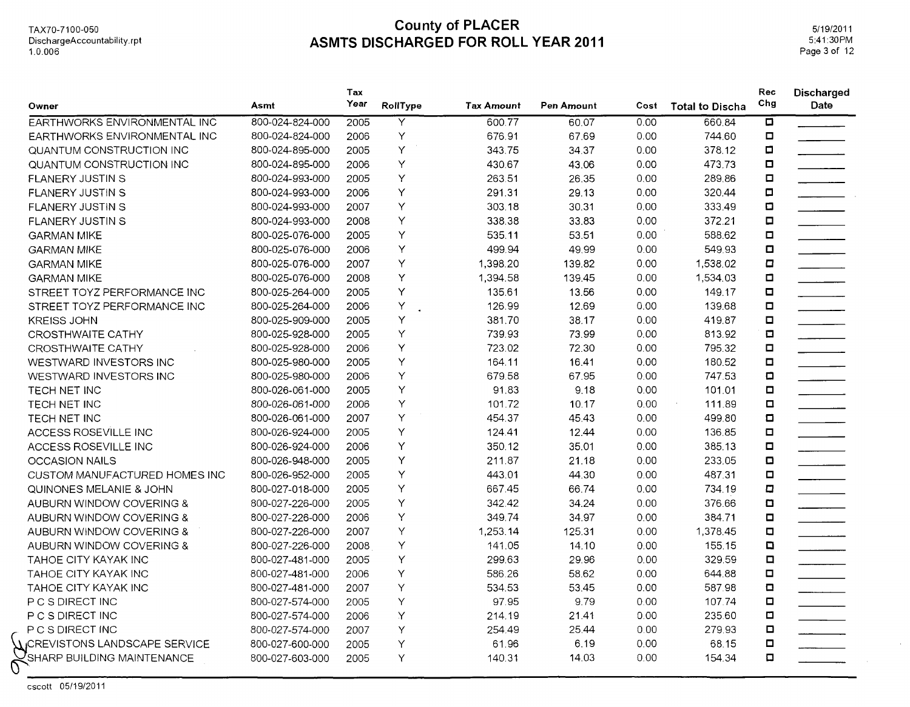TAX70-71 00-050 DischargeAccountability.rpt 1.0.006

#### **County of PLACER ASMTS DISCHARGED FOR ROLL YEAR 2011**

5/19/2011 5:41:30PM Page 3 of 12

| Owner                         | Asmt            | Tax<br>Year | RollType | Tax Amount | Pen Amount | Cost | <b>Total to Discha</b> | Rec<br>Chg              | <b>Discharged</b><br>Date |
|-------------------------------|-----------------|-------------|----------|------------|------------|------|------------------------|-------------------------|---------------------------|
| EARTHWORKS ENVIRONMENTAL INC  | 800-024-824-000 | 2005        | Y        | 600.77     | 60.07      | 0.00 | 660.84                 | $\overline{\mathbf{a}}$ |                           |
| EARTHWORKS ENVIRONMENTAL INC  | 800-024-824-000 | 2006        | Y        | 676.91     | 67.69      | 0.00 | 744.60                 | $\Box$                  |                           |
| QUANTUM CONSTRUCTION INC      | 800-024-895-000 | 2005        | Υ        | 343.75     | 34.37      | 0.00 | 378.12                 | $\Box$                  |                           |
| QUANTUM CONSTRUCTION INC      | 800-024-895-000 | 2006        | Υ        | 430.67     | 43.06      | 0.00 | 473.73                 | $\blacksquare$          |                           |
| <b>FLANERY JUSTIN S</b>       | 800-024-993-000 | 2005        | Υ        | 263.51     | 26.35      | 0,00 | 289.86                 | $\Box$                  |                           |
| FLANERY JUSTIN S              | 800-024-993-000 | 2006        | Υ        | 291.31     | 29.13      | 0,00 | 320.44                 | α                       |                           |
| FLANERY JUSTIN S              | 800-024-993-000 | 2007        | Υ        | 303.18     | 30.31      | 0.00 | 333.49                 | $\Box$                  |                           |
| <b>FLANERY JUSTIN S</b>       | 800-024-993-000 | 2008        | Υ        | 338.38     | 33.83      | 0.00 | 372.21                 | $\Box$                  |                           |
| <b>GARMAN MIKE</b>            | 800-025-076-000 | 2005        | Y        | 535.11     | 53.51      | 0.00 | 588.62                 | $\blacksquare$          |                           |
| <b>GARMAN MIKE</b>            | 800-025-076-000 | 2006        | Υ        | 499.94     | 49.99      | 0.00 | 549.93                 | $\Box$                  |                           |
| <b>GARMAN MIKE</b>            | 800-025-076-000 | 2007        | Υ        | 1,398.20   | 139.82     | 0.00 | 1,538.02               | $\Box$                  |                           |
| <b>GARMAN MIKE</b>            | 800-025-076-000 | 2008        | Υ        | 1,394.58   | 139.45     | 0.00 | 1,534.03               | $\blacksquare$          |                           |
| STREET TOYZ PERFORMANCE INC   | 800-025-264-000 | 2005        | Y        | 135.61     | 13.56      | 0.00 | 149.17                 | $\blacksquare$          |                           |
| STREET TOYZ PERFORMANCE INC   | 800-025-264-000 | 2006        | Υ        | 126.99     | 12.69      | 0.00 | 139.68                 | $\Box$                  |                           |
| <b>KREISS JOHN</b>            | 800-025-909-000 | 2005        | Υ        | 381.70     | 38.17      | 0.00 | 419.87                 | $\blacksquare$          |                           |
| CROSTHWAITE CATHY             | 800-025-928-000 | 2005        | Y        | 739.93     | 73.99      | 0.00 | 813.92                 | $\Box$                  |                           |
| <b>CROSTHWAITE CATHY</b>      | 800-025-928-000 | 2006        | Y        | 723.02     | 72.30      | 0.00 | 795.32                 | $\Box$                  |                           |
| WESTWARD INVESTORS INC        | 800-025-980-000 | 2005        | Υ        | 164.11     | 16.41      | 0.00 | 180.52                 | $\Box$                  |                           |
| WESTWARD INVESTORS INC        | 800-025-980-000 | 2006        | Y        | 679.58     | 67.95      | 0.00 | 747.53                 | $\Box$                  |                           |
| TECH NET INC                  | 800-026-061-000 | 2005        | Υ        | 91.83      | 9.18       | 0.00 | 101.01                 | $\Box$                  |                           |
| TECH NET INC                  | 800-026-061-000 | 2006        | Y        | 101.72     | 10.17      | 0.00 | 111.89                 | $\Box$                  |                           |
| TECH NET INC                  | 800-026-061-000 | 2007        | Υ        | 454.37     | 45.43      | 0.00 | 499.80                 | $\Box$                  |                           |
| ACCESS ROSEVILLE INC          | 800-026-924-000 | 2005        | Υ        | 124.41     | 12.44      | 0.00 | 136.85                 | $\Box$                  |                           |
| ACCESS ROSEVILLE INC          | 800-026-924-000 | 2006        | Υ        | 350.12     | 35.01      | 0.00 | 385.13                 | $\blacksquare$          |                           |
| <b>OCCASION NAILS</b>         | 800-026-948-000 | 2005        | Υ        | 211.87     | 21.18      | 0.00 | 233.05                 | $\blacksquare$          |                           |
| CUSTOM MANUFACTURED HOMES INC | 800-026-952-000 | 2005        | Y        | 443.01     | 44.30      | 0.00 | 487.31                 | $\Box$                  |                           |
| QUINONES MELANIE & JOHN       | 800-027-018-000 | 2005        | Υ        | 667.45     | 66.74      | 0.00 | 734.19                 | $\Box$                  |                           |
| AUBURN WINDOW COVERING &      | 800-027-226-000 | 2005        | Υ        | 342.42     | 34.24      | 0.00 | 376.66                 | $\Box$                  |                           |
| AUBURN WINDOW COVERING &      | 800-027-226-000 | 2006        | Υ        | 349.74     | 34.97      | 0.00 | 384.71                 | $\Box$                  |                           |
| AUBURN WINDOW COVERING &      | 800-027-226-000 | 2007        | Υ        | 1,253.14   | 125.31     | 0.00 | 1,378.45               | $\Box$                  |                           |
| AUBURN WINDOW COVERING &      | 800-027-226-000 | 2008        | Y        | 141.05     | 14.10      | 0.00 | 155.15                 | $\Box$                  |                           |
| <b>TAHOE CITY KAYAK INC</b>   | 800-027-481-000 | 2005        | Υ        | 299.63     | 29.96      | 0.00 | 329.59                 | $\Box$                  |                           |
| TAHOE CITY KAYAK INC          | 800-027-481-000 | 2006        | Υ        | 586.26     | 58.62      | 0.00 | 644.88                 | $\Box$                  |                           |
| <b>TAHOE CITY KAYAK INC</b>   | 800-027-481-000 | 2007        | Υ        | 534.53     | 53.45      | 0.00 | 587.98                 | $\Box$                  |                           |
| P C S DIRECT INC              | 800-027-574-000 | 2005        | Υ        | 97.95      | 9.79       | 0.00 | 107.74                 | $\Box$                  |                           |
| P C S DIRECT INC              | 800-027-574-000 | 2006        | Y        | 214.19     | 21.41      | 0.00 | 235.60                 | o                       |                           |
| P C S DIRECT INC              | 800-027-574-000 | 2007        | Υ        | 254.49     | 25.44      | 0.00 | 279.93                 | O                       |                           |
| UCREVISTONS LANDSCAPE SERVICE | 800-027-600-000 | 2005        | Υ        | 61.96      | 6.19       | 0.00 | 68.15                  | $\blacksquare$          |                           |
| SHARP BUILDING MAINTENANCE    | 800-027-603-000 | 2005        | Υ        | 140.31     | 14.03      | 0.00 | 154.34                 | $\Box$                  |                           |

cscott 05/19/2011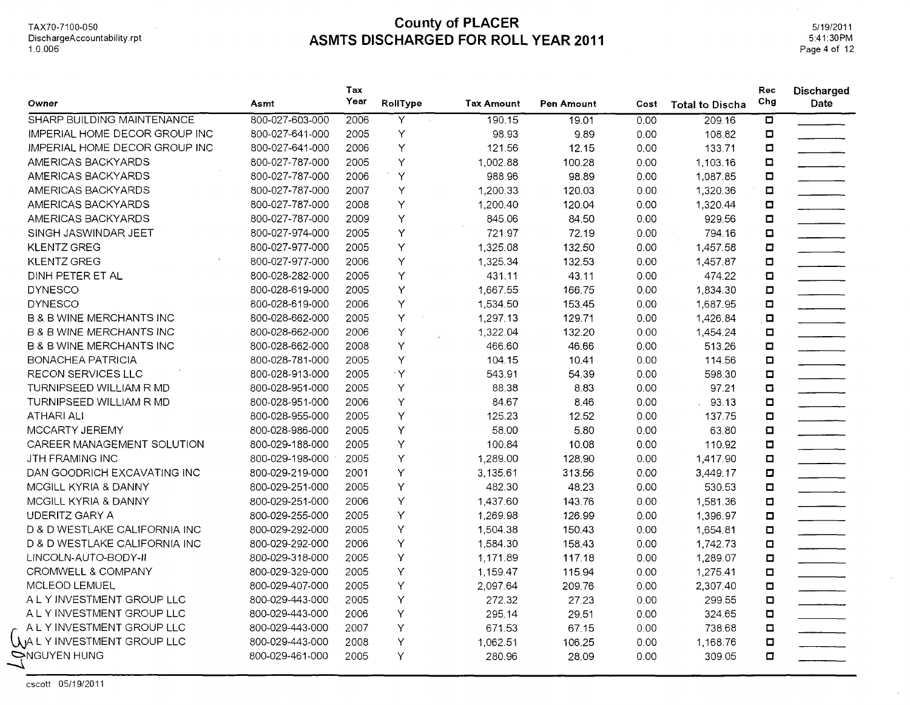5/19/2011 5:41 :30PM Page 4 of 12

 $\sim$ 

|                                      |                 | Tax  |                |                   |            |      |                        | Rec                     | Discharged               |
|--------------------------------------|-----------------|------|----------------|-------------------|------------|------|------------------------|-------------------------|--------------------------|
| Owner                                | Asmt            | Year | RollType       | <b>Tax Amount</b> | Pen Amount | Cost | <b>Total to Discha</b> | Chg                     | Date                     |
| SHARP BUILDING MAINTENANCE           | 800-027-603-000 | 2006 | $\overline{Y}$ | 190.15            | 19.01      | 0.00 | 209.16                 | $\overline{\mathbf{a}}$ |                          |
| <b>IMPERIAL HOME DECOR GROUP INC</b> | 800-027-641-000 | 2005 | Y              | 98.93             | 9.89       | 0.00 | 108.82                 | $\Box$                  |                          |
| IMPERIAL HOME DECOR GROUP INC        | 800-027-641-000 | 2006 | Y              | 121.56            | 12.15      | 0.00 | 133.71                 | $\Box$                  |                          |
| AMERICAS BACKYARDS                   | 800-027-787-000 | 2005 | Y              | 1,002.88          | 100.28     | 0.00 | 1,103.16               | $\Box$                  |                          |
| AMERICAS BACKYARDS                   | 800-027-787-000 | 2006 | $\mathsf{Y}$   | 988.96            | 98.89      | 0.00 | 1,087.85               | $\Box$                  |                          |
| AMERICAS BACKYARDS                   | 800-027-787-000 | 2007 | Υ              | 1,200.33          | 120.03     | 0.00 | 1,320.36               | $\Box$                  |                          |
| AMERICAS BACKYARDS                   | 800-027-787-000 | 2008 | Υ              | 1,200.40          | 120.04     | 0.00 | 1,320.44               | $\Box$                  |                          |
| AMERICAS BACKYARDS                   | 800-027-787-000 | 2009 | Υ              | 845.06            | 84.50      | 0.00 | 929.56                 | $\Box$                  |                          |
| SINGH JASWINDAR JEET                 | 800-027-974-000 | 2005 | Υ              | 721.97            | 72.19      | 0.00 | 794.16                 | $\Box$                  | $\overline{\phantom{a}}$ |
| <b>KLENTZ GREG</b>                   | 800-027-977-000 | 2005 | Y              | 1,325.08          | 132.50     | 0.00 | 1,457.58               | $\Box$                  |                          |
| <b>KLENTZ GREG</b>                   | 800-027-977-000 | 2006 | Υ              | 1,325.34          | 132.53     | 0.00 | 1,457.87               | O                       |                          |
| DINH PETER ET AL                     | 800-028-282-000 | 2005 | Υ              | 431.11            | 43.11      | 0.00 | 474.22                 | O                       | $\overline{\phantom{a}}$ |
| <b>DYNESCO</b>                       | 800-028-619-000 | 2005 | Y              | 1,667.55          | 166.75     | 0.00 | 1,834.30               | $\Box$                  |                          |
| <b>DYNESCO</b>                       | 800-028-619-000 | 2006 | Υ              | 1,534.50          | 153.45     | 0.00 | 1,687.95               | $\Box$                  | $\overline{\phantom{a}}$ |
| <b>B &amp; B WINE MERCHANTS INC</b>  | 800-028-662-000 | 2005 | Υ              | 1,297.13          | 129.71     | 0.00 | 1,426.84               | $\blacksquare$          | $\overline{\phantom{a}}$ |
| <b>B &amp; B WINE MERCHANTS INC</b>  | 800-028-662-000 | 2006 | Υ              | 1,322.04          | 132.20     | 0.00 | 1,454.24               | $\Box$                  |                          |
| <b>B &amp; B WINE MERCHANTS INC</b>  | 800-028-662-000 | 2008 | Y              | 466.60            | 46.66      | 0.00 | 513.26                 | $\Box$                  |                          |
| <b>BONACHEA PATRICIA</b>             | 800-028-781-000 | 2005 | Y              | 104.15            | 10.41      | 0.00 | 114.56                 | $\Box$                  |                          |
| RECON SERVICES LLC                   | 800-028-913-000 | 2005 | $\cdot$ Y      | 543.91            | 54.39      | 0.00 | 598.30                 | ο                       |                          |
| TURNIPSEED WILLIAM R MD              | 800-028-951-000 | 2005 | Y              | 88.38             | 8.83       | 0.00 | 97.21                  | $\Box$                  |                          |
| TURNIPSEED WILLIAM R MD              | 800-028-951-000 | 2006 | Υ              | 84.67             | 8.46       | 0.00 | 93.13                  | o                       | $\overline{\phantom{a}}$ |
| <b>ATHARI ALI</b>                    | 800-028-955-000 | 2005 | Υ              | 125.23            | 12.52      | 0.00 | 137.75                 | ο                       |                          |
| MCCARTY JEREMY                       | 800-028-986-000 | 2005 | Υ              | 58.00             | 5.80       | 0.00 | 63.80                  | $\Box$                  |                          |
| CAREER MANAGEMENT SOLUTION           | 800-029-188-000 | 2005 | Υ              | 100.84            | 10.08      | 0.00 | 110.92                 | $\Box$                  | $\overline{\phantom{a}}$ |
| JTH FRAMING INC                      | 800-029-198-000 | 2005 | Υ              | 1,289.00          | 128.90     | 0.00 | 1,417.90               | $\Box$                  |                          |
| DAN GOODRICH EXCAVATING INC          | 800-029-219-000 | 2001 | Υ              | 3,135.61          | 313.56     | 0.00 | 3,449.17               | $\Box$                  | <u> 1990 - Jan Ja</u>    |
| MCGILL KYRIA & DANNY                 | 800-029-251-000 | 2005 | Y              | 482.30            | 48.23      | 0.00 | 530.53                 | о                       |                          |
| MCGILL KYRIA & DANNY                 | 800-029-251-000 | 2006 | Υ              | 1,437.60          | 143.76     | 0.00 | 1,581.36               | $\blacksquare$          | $\overline{\phantom{a}}$ |
| <b>UDERITZ GARY A</b>                | 800-029-255-000 | 2005 | Υ              | 1,269.98          | 126.99     | 0.00 | 1,396.97               | O                       |                          |
| D & D WESTLAKE CALIFORNIA INC        | 800-029-292-000 | 2005 | Y              | 1,504.38          | 150.43     | 0.00 | 1,654.81               | $\Box$                  |                          |
| D & D WESTLAKE CALIFORNIA INC        | 800-029-292-000 | 2006 | Υ              | 1,584.30          | 158.43     | 0.00 | 1,742.73               | α                       |                          |
| LINCOLN-AUTO-BODY-II                 | 800-029-318-000 | 2005 | Υ              | 1,171.89          | 117.18     | 0.00 | 1,289.07               | ◘                       | $\overline{\phantom{a}}$ |
| CROMWELL & COMPANY                   | 800-029-329-000 | 2005 | Υ              | 1,159.47          | 115.94     | 0.00 | 1,275.41               | ο                       |                          |
| MCLEOD LEMUEL                        | 800-029-407-000 | 2005 | Υ              | 2,097.64          | 209.76     | 0.00 | 2,307.40               | $\Box$                  | _________________        |
| A L Y INVESTMENT GROUP LLC           | 800-029-443-000 | 2005 | Y              | 272.32            | 27.23      | 0.00 | 299.55                 | $\Box$                  |                          |
| A L Y INVESTMENT GROUP LLC           | 800-029-443-000 | 2006 | Y              | 295.14            | 29.51      | 0.00 | 324.65                 | $\Box$                  | <u> 1999 - Jan Ja</u>    |
| A L Y INVESTMENT GROUP LLC           | 800-029-443-000 | 2007 | Y              | 671.53            | 67.15      | 0.00 | 738.68                 | $\Box$                  |                          |
| UALY INVESTMENT GROUP LLC            | 800-029-443-000 | 2008 | Υ              | 1,062.51          | 106.25     | 0.00 | 1,168.76               | O                       |                          |
| ONGUYEN HUNG                         | 800-029-461-000 | 2005 | Y              | 280.96            | 28.09      | 0.00 | 309.05                 | $\Box$                  |                          |
|                                      |                 |      |                |                   |            |      |                        |                         |                          |

cscott 05/1 9/2011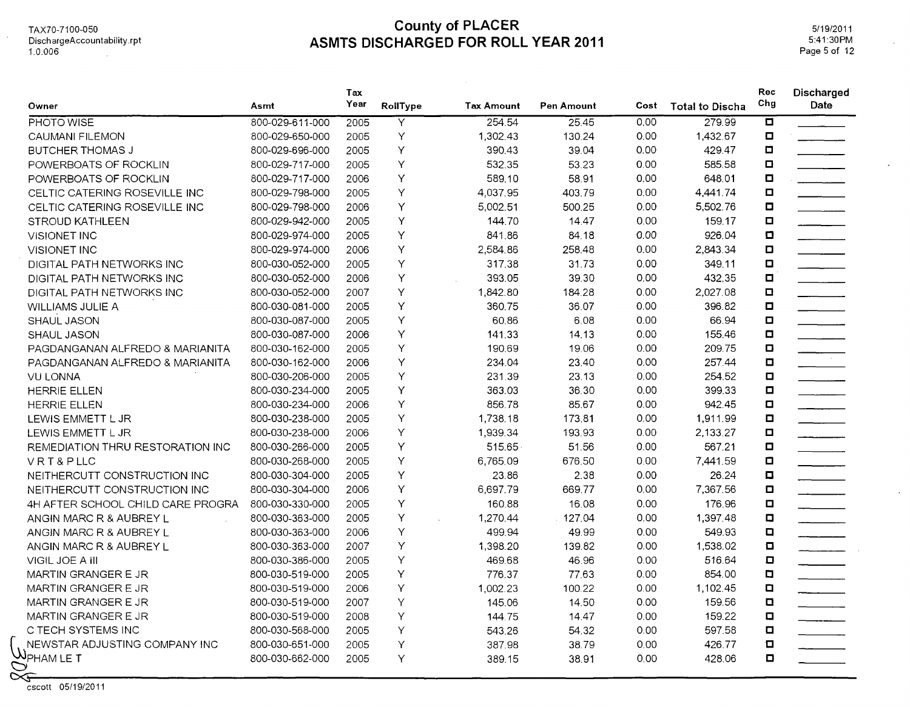TAX70-7100-050 DischargeAccountability.rpt 1.0.006  $\sim 10$ 

## **County of PLACER ASMTS DISCHARGED FOR ROLL YEAR 2011**

5/19/2011 5:41:30PM Page 5 of 12

| Owner                                                             | Asmt            | Tax<br>Year | RollType                | <b>Tax Amount</b> | Pen Amount | Cost | <b>Total to Discha</b> | Rec<br>Chg              | Discharged<br>Date |
|-------------------------------------------------------------------|-----------------|-------------|-------------------------|-------------------|------------|------|------------------------|-------------------------|--------------------|
| PHOTO WISE                                                        | 800-029-611-000 | 2005        | $\overline{\mathsf{Y}}$ | 254.54            | 25.45      | 0.00 | 279.99                 | $\overline{\mathbf{u}}$ |                    |
| CAUMANI FILEMON                                                   | 800-029-650-000 | 2005        | Υ                       | 1,302.43          | 130.24     | 0.00 | 1,432.67               | О                       |                    |
| <b>BUTCHER THOMAS J</b>                                           | 800-029-696-000 | 2005        | Υ                       | 390.43            | 39.04      | 0.00 | 429.47                 | О                       |                    |
| POWERBOATS OF ROCKLIN                                             | 800-029-717-000 | 2005        | Υ                       | 532.35            | 53.23      | 0.00 | 585.58                 | $\Box$                  |                    |
| POWERBOATS OF ROCKLIN                                             | 800-029-717-000 | 2006        | Y                       | 589.10            | 58.91      | 0.00 | 648.01                 | $\Box$                  |                    |
| CELTIC CATERING ROSEVILLE INC                                     | 800-029-798-000 | 2005        | Υ                       | 4,037.95          | 403.79     | 0.00 | 4,441.74               | □                       |                    |
| CELTIC CATERING ROSEVILLE INC                                     | 800-029-798-000 | 2006        | Υ                       | 5,002.51          | 500.25     | 0.00 | 5,502.76               | O                       |                    |
| STROUD KATHLEEN                                                   | 800-029-942-000 | 2005        | Υ                       | 144.70            | 14.47      | 0.00 | 159.17                 | $\Box$                  |                    |
| <b>VISIONET INC</b>                                               | 800-029-974-000 | 2005        | Υ                       | 841.86            | 84.18      | 0.00 | 926.04                 | $\Box$                  |                    |
| VISIONET INC                                                      | 800-029-974-000 | 2006        | Υ                       | 2,584.86          | 258.48     | 0.00 | 2,843.34               | $\Box$                  |                    |
| DIGITAL PATH NETWORKS INC                                         | 800-030-052-000 | 2005        | Υ                       | 317.38            | 31.73      | 0.00 | 349.11                 | $\Box$                  |                    |
| DIGITAL PATH NETWORKS INC                                         | 800-030-052-000 | 2006        | Υ                       | 393.05            | 39.30      | 0.00 | 432.35                 | $\Box$                  |                    |
| DIGITAL PATH NETWORKS INC                                         | 800-030-052-000 | 2007        | Υ                       | 1,842.80          | 184.28     | 0.00 | 2,027.08               | $\Box$                  |                    |
| WILLIAMS JULIE A                                                  | 800-030-081-000 | 2005        | Υ                       | 360.75            | 36.07      | 0.00 | 396.82                 | О                       |                    |
| <b>SHAUL JASON</b>                                                | 800-030-087-000 | 2005        | Υ                       | 60.86             | 6.08       | 0.00 | 66.94                  | Ο                       |                    |
| SHAUL JASON                                                       | 800-030-087-000 | 2006        | Υ                       | 141.33            | 14.13      | 0.00 | 155.46                 | □                       |                    |
| PAGDANGANAN ALFREDO & MARIANITA                                   | 800-030-162-000 | 2005        | Υ                       | 190.69            | 19.06      | 0.00 | 209.75                 | O                       |                    |
| PAGDANGANAN ALFREDO & MARIANITA                                   | 800-030-162-000 | 2006        | Υ                       | 234.04            | 23.40      | 0.00 | 257.44                 | $\Box$                  | $\frac{1}{2}$      |
| <b>VU LONNA</b>                                                   | 800-030-206-000 | 2005        | Υ                       | 231.39            | 23.13      | 0.00 | 254.52                 | $\Box$                  |                    |
| <b>HERRIE ELLEN</b>                                               | 800-030-234-000 | 2005        | Υ                       | 363.03            | 36.30      | 0.00 | 399.33                 | $\Box$                  |                    |
| <b>HERRIE ELLEN</b>                                               | 800-030-234-000 | 2006        | Υ                       | 856.78            | 85.67      | 0.00 | 942.45                 | O                       |                    |
| LEWIS EMMETT L JR                                                 | 800-030-238-000 | 2005        | Υ                       | 1,738.18          | 173.81     | 0.00 | 1.911.99               | $\Box$                  |                    |
| LEWIS EMMETT L JR                                                 | 800-030-238-000 | 2006        | Υ                       | 1,939.34          | 193.93     | 0.00 | 2,133.27               | Ο                       |                    |
| <b>REMEDIATION THRU RESTORATION INC</b>                           | 800-030-266-000 | 2005        | Υ                       | 515.65            | 51.56      | 0.00 | 567.21                 | ◘                       |                    |
| VRT&PLLC                                                          | 800-030-268-000 | 2005        | Υ                       | 6,765.09          | 676.50     | 0.00 | 7,441.59               | Ο                       |                    |
| NEITHERCUTT CONSTRUCTION INC                                      | 800-030-304-000 | 2005        | Υ                       | 23.86             | 2.38       | 0.00 | 26.24                  | $\Box$                  |                    |
| NEITHERCUTT CONSTRUCTION INC                                      | 800-030-304-000 | 2006        | Υ                       | 6,697.79          | 669.77     | 0.00 | 7,367.56               | $\Box$                  |                    |
| 4H AFTER SCHOOL CHILD CARE PROGRA                                 | 800-030-330-000 | 2005        | Υ                       | 160.88            | 16.08      | 0.00 | 176.96                 | $\Box$                  |                    |
| ANGIN MARC R & AUBREY L                                           | 800-030-363-000 | 2005        | Υ                       | 1,270.44          | 127.04     | 0.00 | 1,397.48               | $\Box$                  |                    |
| ANGIN MARC R & AUBREY L                                           | 800-030-363-000 | 2006        | Υ                       | 499.94            | 49.99      | 0.00 | 549.93                 | $\Box$                  |                    |
| ANGIN MARC R & AUBREY L                                           | 800-030-363-000 | 2007        | Y                       | 1,398.20          | 139.82     | 0.00 | 1,538.02               | $\Box$                  |                    |
| VIGIL JOE A III                                                   | 800-030-386-000 | 2005        | Υ                       | 469.68            | 46.96      | 0.00 | 516.64                 | o                       |                    |
| MARTIN GRANGER E JR                                               | 800-030-519-000 | 2005        | Υ                       | 776.37            | 77.63      | 0.00 | 854.00                 | O                       |                    |
| MARTIN GRANGER E JR                                               | 800-030-519-000 | 2006        | Υ                       | 1,002.23          | 100.22     | 0.00 | 1,102.45               | o                       |                    |
| MARTIN GRANGER E JR                                               | 800-030-519-000 | 2007        | Υ                       | 145.06            | 14.50      | 0.00 | 159.56                 | $\Box$                  |                    |
| MARTIN GRANGER E JR                                               | 800-030-519-000 | 2008        | Υ                       | 144.75            | 14.47      | 0.00 | 159.22                 | o                       |                    |
| C TECH SYSTEMS INC                                                | 800-030-568-000 | 2005        | Υ                       | 543.26            | 54.32      | 0.00 | 597.58                 | $\Box$                  |                    |
| NEWSTAR ADJUSTING COMPANY INC                                     | 800-030-651-000 | 2005        | Υ                       | 387.98            | 38.79      | 0.00 | 426.77                 | $\Box$                  |                    |
| $\mathcal{W}_{\mathsf{PHAM\,LE\,T}}$<br>$\mathcal{O}$<br>$\infty$ | 800-030-662-000 | 2005        | Υ                       | 389.15            | 38.91      | 0.00 | 428.06                 | O                       |                    |

 $\sum_{\text{cscott}}$  05/19/2011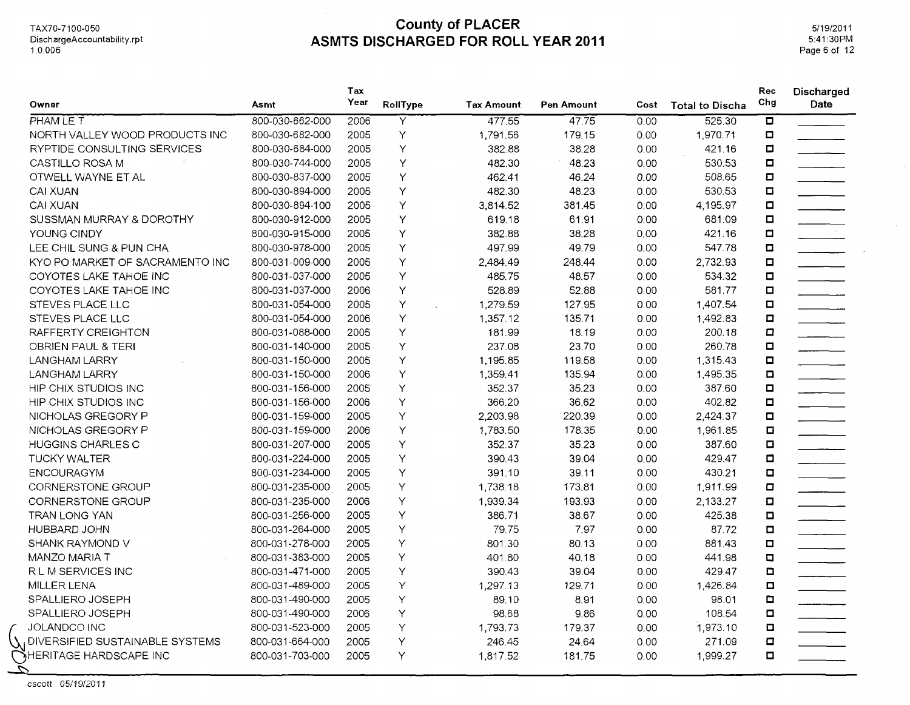$\mathcal{A}$ 

5/19/2011 5:41:30PM Page 6 of 12

 $\bar{\lambda}$ 

| Owner                                    | Asmt            | Tax<br>Year | RollType                | <b>Tax Amount</b> | Pen Amount | Cost | <b>Total to Discha</b> | Rec<br>Chg              | Discharged<br>Date       |
|------------------------------------------|-----------------|-------------|-------------------------|-------------------|------------|------|------------------------|-------------------------|--------------------------|
| PHAM LE T                                | 800-030-662-000 | 2006        | $\overline{\mathsf{Y}}$ | 477.55            | 47.75      | 0.00 | 525.30                 | $\overline{\mathbf{p}}$ |                          |
| NORTH VALLEY WOOD PRODUCTS INC           | 800-030-682-000 | 2005        | Y                       | 1,791.56          | 179.15     | 0.00 | 1,970.71               | $\Box$                  |                          |
| RYPTIDE CONSULTING SERVICES              | 800-030-684-000 | 2005        | Υ                       | 382.88            | 38.28      | 0.00 | 421.16                 | $\Box$                  |                          |
| CASTILLO ROSA M                          | 800-030-744-000 | 2005        | Υ                       | 482.30            | 48.23      | 0.00 | 530.53                 | □                       |                          |
| OTWELL WAYNE ET AL                       | 800-030-837-000 | 2005        | Υ                       | 462.41            | 46.24      | 0.00 | 508.65                 | $\Box$                  |                          |
| <b>CAI XUAN</b>                          | 800-030-894-000 | 2005        | Υ                       | 482.30            | 48.23      | 0.00 | 530.53                 | $\Box$                  |                          |
| <b>CAI XUAN</b>                          | 800-030-894-100 | 2005        | Υ                       | 3,814.52          | 381.45     | 0.00 | 4,195.97               | о                       |                          |
| SUSSMAN MURRAY & DOROTHY                 | 800-030-912-000 | 2005        | Y                       | 619.18            | 61.91      | 0.00 | 681.09                 | О                       | $\mathcal{L}$            |
| YOUNG CINDY                              | 800-030-915-000 | 2005        | Y                       | 382.88            | 38.28      | 0.00 | 421.16                 | $\Box$                  |                          |
| LEE CHIL SUNG & PUN CHA                  | 800-030-978-000 | 2005        | Υ                       | 497.99            | 49.79      | 0.00 | 547.78                 | $\Box$                  |                          |
| KYO PO MARKET OF SACRAMENTO INC          | 800-031-009-000 | 2005        | Υ                       | 2,484.49          | 248.44     | 0.00 | 2,732.93               | 0                       |                          |
| COYOTES LAKE TAHOE INC                   | 800-031-037-000 | 2005        | Υ                       | 485.75            | 48.57      | 0.00 | 534.32                 | О                       |                          |
| COYOTES LAKE TAHOE INC                   | 800-031-037-000 | 2006        | Y                       | 528.89            | 52.88      | 0.00 | 581.77                 | $\Box$                  |                          |
| STEVES PLACE LLC                         | 800-031-054-000 | 2005        | Y                       | 1,279.59          | 127.95     | 0.00 | 1,407.54               | 0                       |                          |
| STEVES PLACE LLC                         | 800-031-054-000 | 2006        | Υ                       | 1,357.12          | 135.71     | 0.00 | 1,492.83               | $\Box$                  |                          |
| RAFFERTY CREIGHTON                       | 800-031-088-000 | 2005        | Y                       | 181.99            | 18.19      | 0.00 | 200.18                 | O                       |                          |
| OBRIEN PAUL & TERI                       | 800-031-140-000 | 2005        | Υ                       | 237.08            | 23.70      | 0.00 | 260.78                 | 0                       |                          |
| <b>LANGHAM LARRY</b>                     | 800-031-150-000 | 2005        | Υ                       | 1,195.85          | 119.58     | 0.00 | 1,315.43               | о                       |                          |
| LANGHAM LARRY                            | 800-031-150-000 | 2006        | Y                       | 1,359.41          | 135.94     | 0.00 | 1,495.35               | $\Box$                  | $\overline{\phantom{a}}$ |
| HIP CHIX STUDIOS INC                     | 800-031-156-000 | 2005        | Y                       | 352.37            | 35.23      | 0.00 | 387.60                 | $\Box$                  |                          |
| HIP CHIX STUDIOS INC                     | 800-031-156-000 | 2006        | Υ                       | 366.20            | 36.62      | 0.00 | 402.82                 | $\Box$                  |                          |
| NICHOLAS GREGORY P                       | 800-031-159-000 | 2005        | Υ                       | 2,203.98          | 220.39     | 0.00 | 2,424.37               | $\Box$                  |                          |
| NICHOLAS GREGORY P                       | 800-031-159-000 | 2006        | Y                       | 1,783.50          | 178.35     | 0.00 | 1,961.85               | $\Box$                  |                          |
| <b>HUGGINS CHARLES C</b>                 | 800-031-207-000 | 2005        | Y                       | 352.37            | 35.23      | 0.00 | 387.60                 | $\blacksquare$          |                          |
| <b>TUCKY WALTER</b>                      | 800-031-224-000 | 2005        | Y                       | 390.43            | 39.04      | 0.00 | 429.47                 | о                       |                          |
| <b>ENCOURAGYM</b>                        | 800-031-234-000 | 2005        | Υ                       | 391.10            | 39.11      | 0.00 | 430.21                 | $\Box$                  |                          |
| CORNERSTONE GROUP                        | 800-031-235-000 | 2005        | Y                       | 1,738.18          | 173.81     | 0.00 | 1,911.99               | 0                       | $\overline{a}$           |
| CORNERSTONE GROUP                        | 800-031-235-000 | 2006        | Y                       | 1,939.34          | 193.93     | 0.00 | 2,133.27               | $\Box$                  |                          |
| TRAN LONG YAN                            | 800-031-256-000 | 2005        | Y                       | 386.71            | 38.67      | 0.00 | 425.38                 | $\blacksquare$          |                          |
| HUBBARD JOHN                             | 800-031-264-000 | 2005        | Y                       | 79.75             | 7.97       | 0.00 | 87.72                  | $\blacksquare$          | $\overline{\phantom{a}}$ |
| SHANK RAYMOND V                          | 800-031-278-000 | 2005        | Υ                       | 801.30            | 80.13      | 0.00 | 881.43                 | 0                       | <u>.</u><br>Tanzania     |
| MANZO MARIA T                            | 800-031-383-000 | 2005        | Υ                       | 401.80            | 40.18      | 0.00 | 441.98                 | $\Box$                  |                          |
| R L M SERVICES INC                       | 800-031-471-000 | 2005        | Υ                       | 390.43            | 39.04      | 0.00 | 429.47                 | $\Box$                  |                          |
| MILLER LENA                              | 800-031-489-000 | 2005        | Υ                       | 1,297.13          | 129.71     | 0.00 | 1,426.84               | $\Box$                  |                          |
| SPALLIERO JOSEPH                         | 800-031-490-000 | 2005        | Y                       | 89.10             | 8.91       | 0.00 | 98.01                  | O                       |                          |
| SPALLIERO JOSEPH                         | 800-031-490-000 | 2006        | Y                       | 98.68             | 9.86       | 0.00 | 108.54                 | $\Box$                  |                          |
| <b>JOLANDCO INC</b>                      | 800-031-523-000 | 2005        | Υ                       | 1,793.73          | 179.37     | 0.00 | 1,973.10               | O                       |                          |
| $\chi_i$ DIVERSIFIED SUSTAINABLE SYSTEMS | 800-031-664-000 | 2005        | Y                       | 246.45            | 24.64      | 0.00 | 271.09                 | $\Box$                  |                          |
| HERITAGE HARDSCAPE INC                   | 800-031-703-000 | 2005        | Y                       | 1,817.52          | 181.75     | 0.00 | 1,999.27               | $\Box$                  |                          |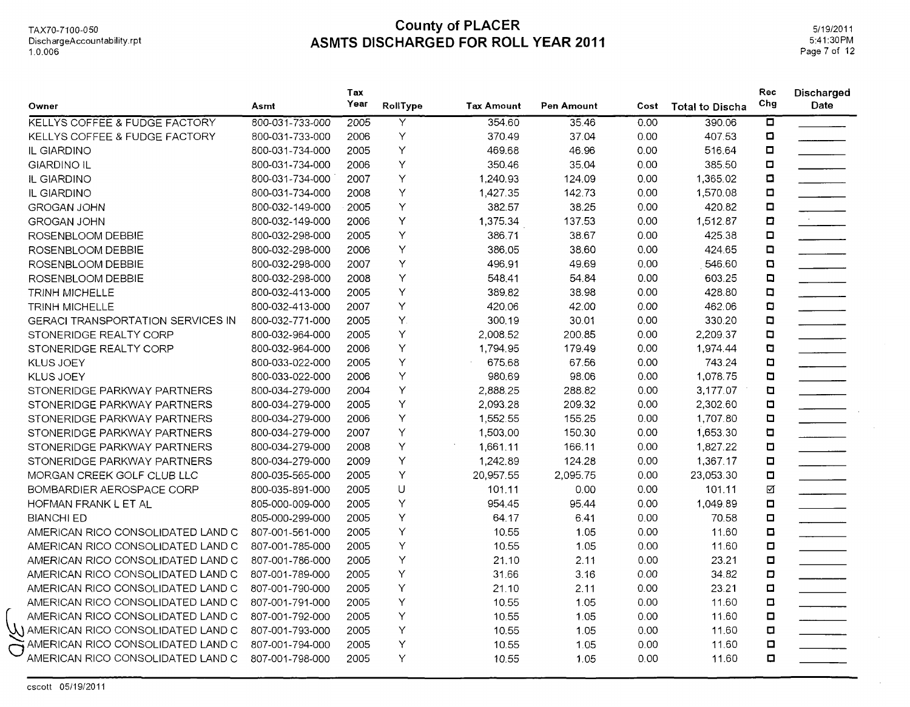DischargeAccountability.rpt 1.0.006

#### **County of PLACER** TAX70-7100-050 **ASMTS DISCHARGED FOR ROLL YEAR 2011**

5/19/2011 5:41:30PM Page 7 of 12

| Owner                                    | Asmt            | Tax<br>Year | RollType | <b>Tax Amount</b> | Pen Amount | Cost | <b>Total to Discha</b> | Rec<br>Chg     | Discharged<br>Date |
|------------------------------------------|-----------------|-------------|----------|-------------------|------------|------|------------------------|----------------|--------------------|
| <b>KELLYS COFFEE &amp; FUDGE FACTORY</b> | 800-031-733-000 | 2005        | Y        | 354.60            | 35.46      | 0.00 | 390.06                 | ō              |                    |
| <b>KELLYS COFFEE &amp; FUDGE FACTORY</b> | 800-031-733-000 | 2006        | Υ        | 370.49            | 37.04      | 0.00 | 407.53                 | $\blacksquare$ |                    |
| IL GIARDINO                              | 800-031-734-000 | 2005        | Y        | 469.68            | 46.96      | 0.00 | 516.64                 | $\Box$         |                    |
| <b>GIARDINO IL</b>                       | 800-031-734-000 | 2006        | Y        | 350.46            | 35.04      | 0.00 | 385.50                 | $\blacksquare$ |                    |
| IL GIARDINO                              | 800-031-734-000 | 2007        | Y        | 1,240.93          | 124.09     | 0.00 | 1,365.02               | $\blacksquare$ |                    |
| IL GIARDINO                              | 800-031-734-000 | 2008        | Υ        | 1,427.35          | 142.73     | 0.00 | 1,570.08               | O              |                    |
| GROGAN JOHN                              | 800-032-149-000 | 2005        | Υ        | 382.57            | 38.25      | 0.00 | 420.82                 | $\Box$         |                    |
| <b>GROGAN JOHN</b>                       | 800-032-149-000 | 2006        | Y        | 1,375.34          | 137.53     | 0.00 | 1,512.87               | O              | $\mathcal{L}$      |
| ROSENBLOOM DEBBIE                        | 800-032-298-000 | 2005        | Υ        | 386.71            | 38.67      | 0.00 | 425.38                 | $\Box$         |                    |
| ROSENBLOOM DEBBIE                        | 800-032-298-000 | 2006        | Υ        | 386.05            | 38.60      | 0.00 | 424.65                 | $\Box$         |                    |
| ROSENBLOOM DEBBIE                        | 800-032-298-000 | 2007        | Υ        | 496.91            | 49.69      | 0.00 | 546.60                 | O              |                    |
| ROSENBLOOM DEBBIE                        | 800-032-298-000 | 2008        | Υ        | 548.41            | 54.84      | 0.00 | 603.25                 | $\blacksquare$ |                    |
| <b>TRINH MICHELLE</b>                    | 800-032-413-000 | 2005        | Y        | 389.82            | 38.98      | 0.00 | 428.80                 | $\Box$         |                    |
| <b>TRINH MICHELLE</b>                    | 800-032-413-000 | 2007        | Y        | 420.06            | 42.00      | 0.00 | 462.06                 | O              |                    |
| <b>GERACI TRANSPORTATION SERVICES IN</b> | 800-032-771-000 | 2005        | Υ.       | 300.19            | 30.01      | 0.00 | 330.20                 | $\Box$         |                    |
| STONERIDGE REALTY CORP                   | 800-032-964-000 | 2005        | Υ        | 2,008.52          | 200.85     | 0.00 | 2,209.37               | O              |                    |
| STONERIDGE REALTY CORP                   | 800-032-964-000 | 2006        | Υ        | 1,794.95          | 179.49     | 0.00 | 1,974.44               | O              |                    |
| <b>KLUS JOEY</b>                         | 800-033-022-000 | 2005        | Y        | 675.68            | 67.56      | 0.00 | 743.24                 | $\blacksquare$ |                    |
| <b>KLUS JOEY</b>                         | 800-033-022-000 | 2006        | Y        | 980.69            | 98.06      | 0.00 | 1,078.75               | $\blacksquare$ |                    |
| STONERIDGE PARKWAY PARTNERS              | 800-034-279-000 | 2004        | Y        | 2,888.25          | 288.82     | 0.00 | 3,177.07               | $\blacksquare$ |                    |
| STONERIDGE PARKWAY PARTNERS              | 800-034-279-000 | 2005        | Υ        | 2,093.28          | 209.32     | 0.00 | 2,302.60               | $\blacksquare$ |                    |
| STONERIDGE PARKWAY PARTNERS              | 800-034-279-000 | 2006        | Y        | 1,552.55          | 155.25     | 0.00 | 1,707.80               | $\blacksquare$ |                    |
| STONERIDGE PARKWAY PARTNERS              | 800-034-279-000 | 2007        | Υ        | 1,503.00          | 150.30     | 0.00 | 1,653.30               | $\Box$         |                    |
| STONERIDGE PARKWAY PARTNERS              | 800-034-279-000 | 2008        | Υ        | 1,661.11          | 166.11     | 0.00 | 1,827.22               | $\blacksquare$ |                    |
| STONERIDGE PARKWAY PARTNERS              | 800-034-279-000 | 2009        | Υ        | 1,242.89          | 124.28     | 0.00 | 1,367.17               | $\blacksquare$ |                    |
| MORGAN CREEK GOLF CLUB LLC               | 800-035-565-000 | 2005        | Υ        | 20,957.55         | 2,095.75   | 0.00 | 23,053.30              | $\Box$         |                    |
| BOMBARDIER AEROSPACE CORP                | 800-035-891-000 | 2005        | U        | 101.11            | 0.00       | 0.00 | 101.11                 | ☑              |                    |
| HOFMAN FRANK L ET AL                     | 805-000-009-000 | 2005        | Y        | 954.45            | 95.44      | 0.00 | 1,049.89               | П.             |                    |
| <b>BIANCHI ED</b>                        | 805-000-299-000 | 2005        | Υ        | 64.17             | 6.41       | 0.00 | 70.58                  | $\Box$         |                    |
| AMERICAN RICO CONSOLIDATED LAND C        | 807-001-561-000 | 2005        | Υ        | 10.55             | 1.05       | 0.00 | 11.60                  | $\blacksquare$ |                    |
| AMERICAN RICO CONSOLIDATED LAND C        | 807-001-785-000 | 2005        | Υ        | 10.55             | 1.05       | 0.00 | 11.60                  | $\Box$         |                    |
| AMERICAN RICO CONSOLIDATED LAND C        | 807-001-786-000 | 2005        | Υ        | 21.10             | 2.11       | 0.00 | 23.21                  | O              |                    |
| AMERICAN RICO CONSOLIDATED LAND C        | 807-001-789-000 | 2005        | Υ        | 31.66             | 3.16       | 0.00 | 34.82                  | O              |                    |
| AMERICAN RICO CONSOLIDATED LAND C        | 807-001-790-000 | 2005        | Υ        | 21.10             | 2.11       | 0.00 | 23.21                  | $\Box$         |                    |
| AMERICAN RICO CONSOLIDATED LAND C        | 807-001-791-000 | 2005        | Y        | 10.55             | 1.05       | 0.00 | 11.60                  | $\blacksquare$ |                    |
| AMERICAN RICO CONSOLIDATED LAND C        | 807-001-792-000 | 2005        | Υ        | 10.55             | 1.05       | 0.00 | 11.60                  | $\Box$         |                    |
| W AMERICAN RICO CONSOLIDATED LAND C      | 807-001-793-000 | 2005        | Υ        | 10.55             | 1.05       | 0.00 | 11.60                  | O              |                    |
| AMERICAN RICO CONSOLIDATED LAND C        | 807-001-794-000 | 2005        | Y        | 10.55             | 1.05       | 0.00 | 11.60                  | $\Box$         |                    |
| AMERICAN RICO CONSOLIDATED LAND C        | 807-001-798-000 | 2005        | Y        | 10.55             | 1.05       | 0.00 | 11.60                  | $\Box$         |                    |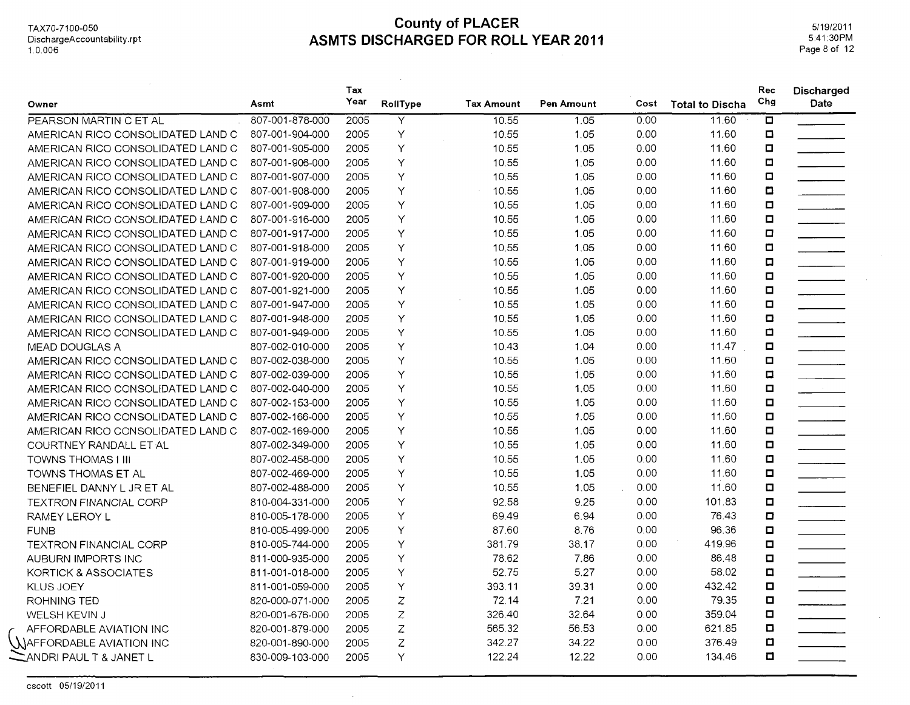#### **County of PLACER** TAX70-7100-050 **ASMTS DISCHARGED FOR ROLL YEAR 2011**

 $\mathcal{A}$ 

5/19/2011 5:41:30PM Page 8 of 12

| Owner                             | Asmt            | Tax<br>Year | RollType     | <b>Tax Amount</b> | Pen Amount | Cost | <b>Total to Discha</b> | Rec<br>Chg              | <b>Discharged</b><br>Date                                                                                                  |
|-----------------------------------|-----------------|-------------|--------------|-------------------|------------|------|------------------------|-------------------------|----------------------------------------------------------------------------------------------------------------------------|
| PEARSON MARTIN C ET AL            | 807-001-878-000 | 2005        | Y            | 10.55             | 1.05       | 0.00 | 11.60                  | $\overline{\mathbf{a}}$ |                                                                                                                            |
| AMERICAN RICO CONSOLIDATED LAND C | 807-001-904-000 | 2005        | Y            | 10.55             | 1.05       | 0.00 | 11.60                  | $\Box$                  |                                                                                                                            |
| AMERICAN RICO CONSOLIDATED LAND C | 807-001-905-000 | 2005        | Υ            | 10.55             | 1.05       | 0.00 | 11.60                  | $\Box$                  |                                                                                                                            |
| AMERICAN RICO CONSOLIDATED LAND C | 807-001-906-000 | 2005        | Y            | 10.55             | 1.05       | 0.00 | 11.60                  | $\Box$                  |                                                                                                                            |
| AMERICAN RICO CONSOLIDATED LAND C | 807-001-907-000 | 2005        | Y            | 10.55             | 1.05       | 0.00 | 11.60                  | $\Box$                  |                                                                                                                            |
| AMERICAN RICO CONSOLIDATED LAND C | 807-001-908-000 | 2005        | Y            | 10.55             | 1.05       | 0.00 | 11.60                  | $\Box$                  |                                                                                                                            |
| AMERICAN RICO CONSOLIDATED LAND C | 807-001-909-000 | 2005        | Υ            | 10.55             | 1.05       | 0.00 | 11.60                  | $\blacksquare$          | $\overline{\phantom{a}}$                                                                                                   |
| AMERICAN RICO CONSOLIDATED LAND C | 807-001-916-000 | 2005        | Y            | 10.55             | 1.05       | 0.00 | 11.60                  | $\blacksquare$          |                                                                                                                            |
| AMERICAN RICO CONSOLIDATED LAND C | 807-001-917-000 | 2005        | Y            | 10.55             | 1.05       | 0.00 | 11.60                  | $\Box$                  |                                                                                                                            |
| AMERICAN RICO CONSOLIDATED LAND C | 807-001-918-000 | 2005        | Y            | 10.55             | 1.05       | 0.00 | 11.60                  | $\Box$                  |                                                                                                                            |
| AMERICAN RICO CONSOLIDATED LAND C | 807-001-919-000 | 2005        | Y            | 10.55             | 1.05       | 0.00 | 11.60                  | $\blacksquare$          |                                                                                                                            |
| AMERICAN RICO CONSOLIDATED LAND C | 807-001-920-000 | 2005        | Y            | 10.55             | 1.05       | 0.00 | 11.60                  | $\blacksquare$          |                                                                                                                            |
| AMERICAN RICO CONSOLIDATED LAND C | 807-001-921-000 | 2005        | Υ            | 10.55             | 1.05       | 0.00 | 11.60                  | $\blacksquare$          |                                                                                                                            |
| AMERICAN RICO CONSOLIDATED LAND C | 807-001-947-000 | 2005        | Y            | 10.55             | 1.05       | 0.00 | 11.60                  | $\blacksquare$          |                                                                                                                            |
| AMERICAN RICO CONSOLIDATED LAND C | 807-001-948-000 | 2005        | Y            | 10.55             | 1.05       | 0.00 | 11.60                  | $\Box$                  |                                                                                                                            |
| AMERICAN RICO CONSOLIDATED LAND C | 807-001-949-000 | 2005        | Y            | 10.55             | 1.05       | 0.00 | 11.60                  | $\blacksquare$          |                                                                                                                            |
| MEAD DOUGLAS A                    | 807-002-010-000 | 2005        | Y            | 10.43             | 1.04       | 0.00 | 11.47                  | $\blacksquare$          |                                                                                                                            |
| AMERICAN RICO CONSOLIDATED LAND C | 807-002-038-000 | 2005        | Y            | 10.55             | 1.05       | 0.00 | 11.60                  | $\blacksquare$          | $\mathbb{R}^n$ . The set of $\mathbb{R}^n$                                                                                 |
| AMERICAN RICO CONSOLIDATED LAND C | 807-002-039-000 | 2005        | Y            | 10.55             | 1.05       | 0.00 | 11.60                  | $\Box$                  |                                                                                                                            |
| AMERICAN RICO CONSOLIDATED LAND C | 807-002-040-000 | 2005        | Υ            | 10.55             | 1.05       | 0.00 | 11.60                  | $\blacksquare$          | $\frac{1}{\sqrt{2\pi}}\left(\frac{1}{\sqrt{2\pi}}\right)^{2}=\frac{1}{2\sqrt{2\pi}}\left(\frac{1}{\sqrt{2\pi}}\right)^{2}$ |
| AMERICAN RICO CONSOLIDATED LAND C | 807-002-153-000 | 2005        | Y            | 10.55             | 1.05       | 0.00 | 11.60                  | $\Box$                  |                                                                                                                            |
| AMERICAN RICO CONSOLIDATED LAND C | 807-002-166-000 | 2005        | Y            | 10.55             | 1.05       | 0.00 | 11.60                  | $\Box$                  | $\mathcal{L}$ . The same $\mathcal{L}$                                                                                     |
| AMERICAN RICO CONSOLIDATED LAND C | 807-002-169-000 | 2005        | Y            | 10.55             | 1.05       | 0.00 | 11.60                  | $\Box$                  |                                                                                                                            |
| COURTNEY RANDALL ET AL            | 807-002-349-000 | 2005        | Υ            | 10.55             | 1.05       | 0.00 | 11.60                  | $\blacksquare$          |                                                                                                                            |
| <b>TOWNS THOMAS I III</b>         | 807-002-458-000 | 2005        | Y            | 10.55             | 1.05       | 0.00 | 11.60                  | $\Box$                  |                                                                                                                            |
| <b>TOWNS THOMAS ET AL</b>         | 807-002-469-000 | 2005        | Y            | 10.55             | 1.05       | 0.00 | 11.60                  | $\Box$                  | $\overline{\phantom{a}}$                                                                                                   |
| BENEFIEL DANNY L JR ET AL         | 807-002-488-000 | 2005        | Y            | 10.55             | 1.05       | 0.00 | 11.60                  | $\Box$                  |                                                                                                                            |
| <b>TEXTRON FINANCIAL CORP</b>     | 810-004-331-000 | 2005        | Y            | 92.58             | 9.25       | 0.00 | 101.83                 | $\Box$                  | $\overline{\phantom{a}}$                                                                                                   |
| RAMEY LEROY L                     | 810-005-178-000 | 2005        | Y            | 69.49             | 6.94       | 0.00 | 76.43                  | $\Box$                  |                                                                                                                            |
| <b>FUNB</b>                       | 810-005-499-000 | 2005        | Υ            | 87.60             | 8.76       | 0.00 | 96.36                  | $\Box$                  |                                                                                                                            |
| <b>TEXTRON FINANCIAL CORP</b>     | 810-005-744-000 | 2005        | Y            | 381.79            | 38.17      | 0.00 | 419.96                 | $\Box$                  |                                                                                                                            |
| AUBURN IMPORTS INC                | 811-000-935-000 | 2005        | Υ            | 78.62             | 7.86       | 0.00 | 86.48                  | $\Box$                  |                                                                                                                            |
| KORTICK & ASSOCIATES              | 811-001-018-000 | 2005        | Y            | 52.75             | 5.27       | 0.00 | 58.02                  | $\Box$                  |                                                                                                                            |
| KLUS JOEY                         | 811-001-059-000 | 2005        | Y            | 393.11            | 39.31      | 0.00 | 432.42                 | $\Box$                  | $\mathcal{L}(\mathcal{L})$ .                                                                                               |
| ROHNING TED                       | 820-000-071-000 | 2005        | Z            | 72.14             | 7.21       | 0.00 | 79.35                  | $\Box$                  |                                                                                                                            |
| WELSH KEVIN J                     | 820-001-676-000 | 2005        | Z            | 326.40            | 32.64      | 0.00 | 359.04                 | $\Box$                  |                                                                                                                            |
| AFFORDABLE AVIATION INC           | 820-001-879-000 | 2005        | Z            | 565.32            | 56.53      | 0.00 | 621.85                 | $\Box$                  |                                                                                                                            |
| A)AFFORDABLE AVIATION INC         | 820-001-890-000 | 2005        | $\mathsf{Z}$ | 342.27            | 34.22      | 0.00 | 376.49                 | $\Box$                  |                                                                                                                            |
| ANDRI PAUL T & JANET L            | 830-009-103-000 | 2005        | Y            | 122.24            | 12.22      | 0.00 | 134.46                 | $\Box$                  |                                                                                                                            |
|                                   |                 |             |              |                   |            |      |                        |                         |                                                                                                                            |

 $\sim$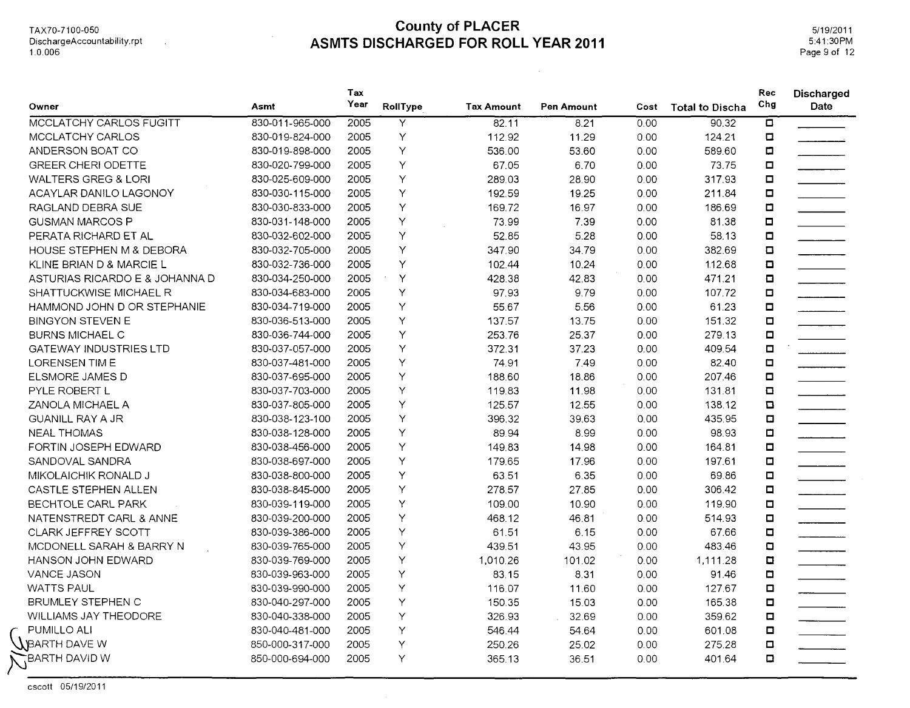TAX70-71 00-050 DischargeAccountability.rpt 1.0.006

 $\mathcal{A}$ 

## **County of PLACER ASMTS DISCHARGED FOR ROLL YEAR 2011**

5/19/2011 5:41:30PM Page 9 of 12

| Owner                          | Asmt            | Tax<br>Year | RollType | <b>Tax Amount</b> | Pen Amount | Cost | <b>Total to Discha</b> | Rec<br>Chg              | <b>Discharged</b><br>Date |
|--------------------------------|-----------------|-------------|----------|-------------------|------------|------|------------------------|-------------------------|---------------------------|
| MCCLATCHY CARLOS FUGITT        | 830-011-965-000 | 2005        | Y        | 82.11             | 8.21       | 0.00 | 90.32                  | $\overline{\mathbf{a}}$ |                           |
| MCCLATCHY CARLOS               | 830-019-824-000 | 2005        | Υ        | 112.92            | 11.29      | 0.00 | 124.21                 | $\Box$                  |                           |
| ANDERSON BOAT CO               | 830-019-898-000 | 2005        | Y        | 536.00            | 53.60      | 0.00 | 589.60                 | $\Box$                  |                           |
| <b>GREER CHERI ODETTE</b>      | 830-020-799-000 | 2005        | Y        | 67.05             | 6.70       | 0.00 | 73.75                  | $\Box$                  |                           |
| <b>WALTERS GREG &amp; LORI</b> | 830-025-609-000 | 2005        | Y        | 289.03            | 28.90      | 0.00 | 317.93                 | $\blacksquare$          |                           |
| ACAYLAR DANILO LAGONOY         | 830-030-115-000 | 2005        | Y        | 192.59            | 19.25      | 0.00 | 211.84                 | $\Box$                  |                           |
| RAGLAND DEBRA SUE              | 830-030-833-000 | 2005        | Y        | 169.72            | 16.97      | 0.00 | 186.69                 | $\Box$                  |                           |
| <b>GUSMAN MARCOS P</b>         | 830-031-148-000 | 2005        | Υ        | 73.99             | 7.39       | 0.00 | 81.38                  | $\Box$                  |                           |
| PERATA RICHARD ET AL           | 830-032-602-000 | 2005        | Y        | 52.85             | 5.28       | 0.00 | 58.13                  | $\Box$                  |                           |
| HOUSE STEPHEN M & DEBORA       | 830-032-705-000 | 2005        | Y        | 347.90            | 34.79      | 0.00 | 382.69                 | $\Box$                  |                           |
| KLINE BRIAN D & MARCIE L       | 830-032-736-000 | 2005        | Y        | 102.44            | 10.24      | 0.00 | 112.68                 | O                       |                           |
| ASTURIAS RICARDO E & JOHANNA D | 830-034-250-000 | 2005        | Y        | 428.38            | 42.83      | 0.00 | 471.21                 | $\Box$                  |                           |
| SHATTUCKWISE MICHAEL R         | 830-034-683-000 | 2005        | Υ        | 97.93             | 9.79       | 0.00 | 107.72                 | $\Box$                  | $\overline{\phantom{a}}$  |
| HAMMOND JOHN D OR STEPHANIE    | 830-034-719-000 | 2005        | Y        | 55.67             | 5.56       | 0.00 | 61.23                  | $\blacksquare$          |                           |
| <b>BINGYON STEVEN E</b>        | 830-036-513-000 | 2005        | Y        | 137.57            | 13.75      | 0.00 | 151.32                 | $\Box$                  |                           |
| <b>BURNS MICHAEL C</b>         | 830-036-744-000 | 2005        | Y        | 253.76            | 25.37      | 0.00 | 279.13                 | $\Box$                  |                           |
| <b>GATEWAY INDUSTRIES LTD</b>  | 830-037-057-000 | 2005        | Y        | 372.31            | 37.23      | 0.00 | 409.54                 | $\Box$                  | $\overline{\phantom{a}}$  |
| <b>LORENSEN TIM E</b>          | 830-037-481-000 | 2005        | Y        | 74.91             | 7.49       | 0.00 | 82.40                  | $\Box$                  |                           |
| ELSMORE JAMES D                | 830-037-695-000 | 2005        | Y        | 188.60            | 18.86      | 0.00 | 207.46                 | $\Box$                  |                           |
| <b>PYLE ROBERT L</b>           | 830-037-703-000 | 2005        | Y        | 119.83            | 11.98      | 0.00 | 131.81                 | $\Box$                  |                           |
| ZANOLA MICHAEL A               | 830-037-805-000 | 2005        | Y        | 125.57            | 12.55      | 0.00 | 138.12                 | $\Box$                  |                           |
| <b>GUANILL RAY A JR</b>        | 830-038-123-100 | 2005        | Y        | 396.32            | 39.63      | 0.00 | 435.95                 | $\Box$                  |                           |
| <b>NEAL THOMAS</b>             | 830-038-128-000 | 2005        | Y        | 89.94             | 8.99       | 0.00 | 98.93                  | $\blacksquare$          |                           |
| FORTIN JOSEPH EDWARD           | 830-038-456-000 | 2005        | Υ        | 149.83            | 14.98      | 0.00 | 164.81                 | $\Box$                  |                           |
| SANDOVAL SANDRA                | 830-038-697-000 | 2005        | Υ        | 179.65            | 17.96      | 0.00 | 197.61                 | $\Box$                  |                           |
| MIKOLAICHIK RONALD J           | 830-038-800-000 | 2005        | Y        | 63.51             | 6.35       | 0.00 | 69.86                  | $\Box$                  |                           |
| CASTLE STEPHEN ALLEN           | 830-038-845-000 | 2005        | Υ        | 278.57            | 27.85      | 0.00 | 306.42                 | $\Box$                  |                           |
| BECHTOLE CARL PARK             | 830-039-119-000 | 2005        | Y        | 109.00            | 10.90      | 0.00 | 119.90                 | $\Box$                  |                           |
| NATENSTREDT CARL & ANNE        | 830-039-200-000 | 2005        | Υ        | 468.12            | 46.81      | 0.00 | 514.93                 | $\blacksquare$          |                           |
| CLARK JEFFREY SCOTT            | 830-039-386-000 | 2005        | Υ        | 61.51             | 6.15       | 0.00 | 67.66                  | $\blacksquare$          |                           |
| MCDONELL SARAH & BARRY N       | 830-039-765-000 | 2005        | Y        | 439.51            | 43.95      | 0.00 | 483.46                 | $\Box$                  |                           |
| HANSON JOHN EDWARD             | 830-039-769-000 | 2005        | Υ        | 1,010.26          | 101.02     | 0.00 | 1,111.28               | $\Box$                  |                           |
| VANCE JASON                    | 830-039-963-000 | 2005        | Υ        | 83.15             | 8.31       | 0.00 | 91.46                  | $\Box$                  |                           |
| <b>WATTS PAUL</b>              | 830-039-990-000 | 2005        | Υ        | 116.07            | 11.60      | 0.00 | 127.67                 | $\Box$                  |                           |
| BRUMLEY STEPHEN C              | 830-040-297-000 | 2005        | Y        | 150.35            | 15.03      | 0.00 | 165.38                 | $\Box$                  |                           |
| WILLIAMS JAY THEODORE          | 830-040-338-000 | 2005        | Y        | 326.93            | 32.69      | 0.00 | 359.62                 | о                       |                           |
| PUMILLO ALI                    | 830-040-481-000 | 2005        | Y        | 546.44            | 54.64      | 0.00 | 601.08                 | $\Box$                  |                           |
| $\lambda$ BARTH DAVE W         | 850-000-317-000 | 2005        | Y        | 250.26            | 25.02      | 0.00 | 275.28                 | $\Box$                  |                           |
| BARTH DAVID W                  | 850-000-694-000 | 2005        | Y        | 365.13            | 36.51      | 0.00 | 401.64                 | $\Box$                  |                           |

cscott 05/19/2011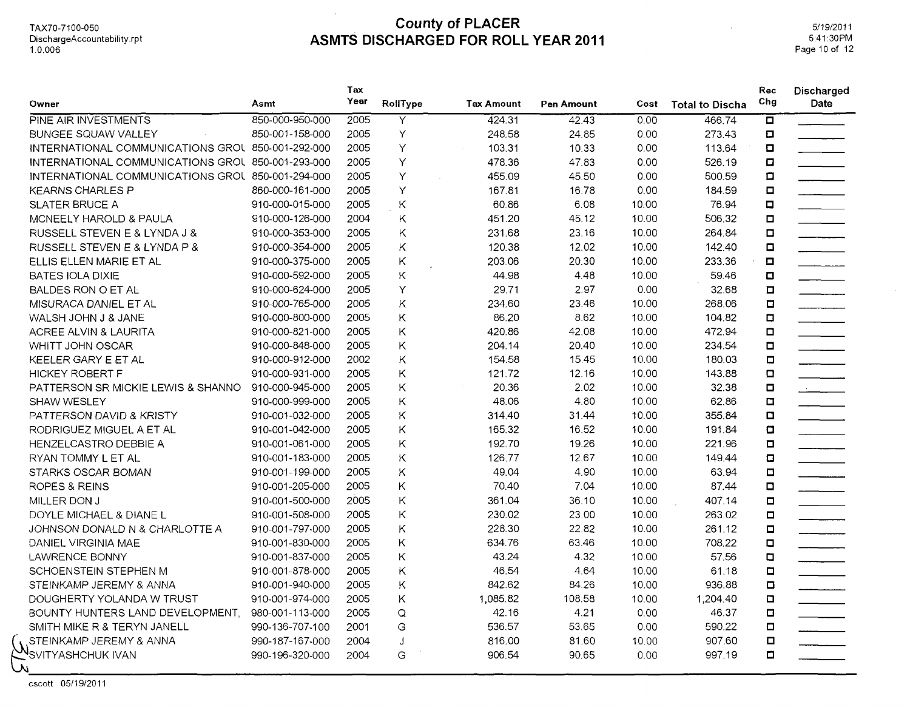#### **County of PLACER** TAX70-7100-050 **ASMTS DISCHARGED FOR ROLL YEAR 2011**

 $\mathcal{L}_{\mathcal{A}}$ 

5/1912011 5:41:30PM Page 10 of 12

 $\sim$ 

|                                                   |                 | Tax  |          |                   |            |       |                        | Rec            | Discharged                  |
|---------------------------------------------------|-----------------|------|----------|-------------------|------------|-------|------------------------|----------------|-----------------------------|
| Owner                                             | Asmt            | Year | RollType | <b>Tax Amount</b> | Pen Amount | Cost  | <b>Total to Discha</b> | Chg            | Date                        |
| PINE AIR INVESTMENTS                              | 850-000-950-000 | 2005 | Y        | 424.31            | 42.43      | 0.00  | 466.74                 | $\Box$         |                             |
| <b>BUNGEE SQUAW VALLEY</b>                        | 850-001-158-000 | 2005 | Υ        | 248.58            | 24.85      | 0.00  | 273.43                 | O              |                             |
| INTERNATIONAL COMMUNICATIONS GROU 850-001-292-000 |                 | 2005 | Y        | 103.31            | 10.33      | 0.00  | 113.64                 | $\Box$         |                             |
| INTERNATIONAL COMMUNICATIONS GROU 850-001-293-000 |                 | 2005 | Υ        | 478.36            | 47.83      | 0.00  | 526.19                 | Ω              |                             |
| INTERNATIONAL COMMUNICATIONS GROU 850-001-294-000 |                 | 2005 | Υ        | 455.09            | 45.50      | 0.00  | 500.59                 | $\Box$         |                             |
| <b>KEARNS CHARLES P</b>                           | 860-000-161-000 | 2005 | Υ        | 167.81            | 16.78      | 0.00  | 184.59                 | $\Box$         |                             |
| SLATER BRUCE A                                    | 910-000-015-000 | 2005 | Κ        | 60.86             | 6.08       | 10.00 | 76.94                  | $\Box$         |                             |
| MCNEELY HAROLD & PAULA                            | 910-000-126-000 | 2004 | Κ        | 451.20            | 45.12      | 10.00 | 506.32                 | $\Box$         |                             |
| RUSSELL STEVEN E & LYNDA J &                      | 910-000-353-000 | 2005 | Κ        | 231.68            | 23.16      | 10.00 | 264.84                 | $\Box$         | ________                    |
| RUSSELL STEVEN E & LYNDA P &                      | 910-000-354-000 | 2005 | K        | 120.38            | 12.02      | 10.00 | 142.40                 | $\Box$         |                             |
| ELLIS ELLEN MARIE ET AL                           | 910-000-375-000 | 2005 | Κ        | 203.06            | 20.30      | 10.00 | 233.36                 | $\Box$         | <u> Albanys a C</u>         |
| <b>BATES IOLA DIXIE</b>                           | 910-000-592-000 | 2005 | Κ        | 44.98             | 4.48       | 10.00 | 59.46                  | $\Box$         |                             |
| BALDES RON O ET AL                                | 910-000-624-000 | 2005 | Y        | 29.71             | 2.97       | 0.00  | 32.68                  | $\Box$         |                             |
| MISURACA DANIEL ET AL                             | 910-000-765-000 | 2005 | Κ        | 234.60            | 23.46      | 10.00 | 268.06                 | $\Box$         |                             |
| WALSH JOHN J & JANE                               | 910-000-800-000 | 2005 | Κ        | 86.20             | 8.62       | 10.00 | 104.82                 | O              |                             |
| ACREE ALVIN & LAURITA                             | 910-000-821-000 | 2005 | Κ        | 420.86            | 42.08      | 10.00 | 472.94                 | $\Box$         |                             |
| WHITT JOHN OSCAR                                  | 910-000-848-000 | 2005 | Κ        | 204.14            | 20.40      | 10.00 | 234.54                 | $\Box$         | <u> Albanys and</u>         |
| KEELER GARY E ET AL                               | 910-000-912-000 | 2002 | Κ        | 154.58            | 15.45      | 10.00 | 180.03                 | $\Box$         |                             |
| <b>HICKEY ROBERT F</b>                            | 910-000-931-000 | 2005 | Κ        | 121.72            | 12.16      | 10.00 | 143.88                 | $\Box$         |                             |
| PATTERSON SR MICKIE LEWIS & SHANNO                | 910-000-945-000 | 2005 | Κ        | 20.36             | 2.02       | 10.00 | 32.38                  | o              | $\frac{1}{2}$               |
| <b>SHAW WESLEY</b>                                | 910-000-999-000 | 2005 | Κ        | 48.06             | 4.80       | 10.00 | 62.86                  | O              |                             |
| PATTERSON DAVID & KRISTY                          | 910-001-032-000 | 2005 | Κ        | 314.40            | 31.44      | 10.00 | 355.84                 | $\Box$         |                             |
| RODRIGUEZ MIGUEL A ET AL                          | 910-001-042-000 | 2005 | Κ        | 165.32            | 16.52      | 10.00 | 191.84                 | $\Box$         | $\sim$ $\sim$ $\sim$ $\sim$ |
| HENZELCASTRO DEBBIE A                             | 910-001-061-000 | 2005 | K        | 192.70            | 19.26      | 10.00 | 221.96                 | $\Box$         |                             |
| RYAN TOMMY L ET AL                                | 910-001-183-000 | 2005 | Κ        | 126.77            | 12.67      | 10.00 | 149.44                 | $\Box$         |                             |
| STARKS OSCAR BOMAN                                | 910-001-199-000 | 2005 | Κ        | 49.04             | 4.90       | 10.00 | 63.94                  | $\Box$         |                             |
| ROPES & REINS                                     | 910-001-205-000 | 2005 | Κ        | 70.40             | 7.04       | 10.00 | 87.44                  | $\Box$         |                             |
| MILLER DON J                                      | 910-001-500-000 | 2005 | Κ        | 361.04            | 36.10      | 10.00 | 407.14                 | $\Box$         | <u>and the community</u>    |
| DOYLE MICHAEL & DIANE L                           | 910-001-508-000 | 2005 | Κ        | 230.02            | 23.00      | 10.00 | 263.02                 | $\Box$         |                             |
| JOHNSON DONALD N & CHARLOTTE A                    | 910-001-797-000 | 2005 | Κ        | 228.30            | 22.82      | 10.00 | 261.12                 | $\Box$         | $\frac{1}{2}$               |
| DANIEL VIRGINIA MAE                               | 910-001-830-000 | 2005 | Κ        | 634.76            | 63.46      | 10.00 | 708.22                 | $\Box$         |                             |
| <b>LAWRENCE BONNY</b>                             | 910-001-837-000 | 2005 | Κ        | 43.24             | 4.32       | 10.00 | 57.56                  | O              |                             |
| SCHOENSTEIN STEPHEN M                             | 910-001-878-000 | 2005 | Κ        | 46.54             | 4.64       | 10.00 | 61.18                  | $\Box$         |                             |
| STEINKAMP JEREMY & ANNA                           | 910-001-940-000 | 2005 | Κ        | 842.62            | 84.26      | 10.00 | 936.88                 | $\Box$         |                             |
| DOUGHERTY YOLANDA W TRUST                         | 910-001-974-000 | 2005 | Κ        | 1,085.82          | 108.58     | 10.00 | 1.204.40               | $\Box$         |                             |
| BOUNTY HUNTERS LAND DEVELOPMENT.                  | 980-001-113-000 | 2005 | Q        | 42.16             | 4.21       | 0.00  | 46.37                  | O              |                             |
| SMITH MIKE R & TERYN JANELL                       | 990-136-707-100 | 2001 | G        | 536.57            | 53.65      | 0.00  | 590.22                 | $\blacksquare$ |                             |
| STEINKAMP JEREMY & ANNA                           | 990-187-167-000 | 2004 | J        | 816.00            | 81.60      | 10.00 | 907.60                 | $\Box$         |                             |
| WSTERN VAN                                        | 990-196-320-000 | 2004 | G        | 906.54            | 90.65      | 0.00  | 997.19                 | $\Box$         |                             |
| نار                                               |                 |      |          |                   |            |       |                        |                |                             |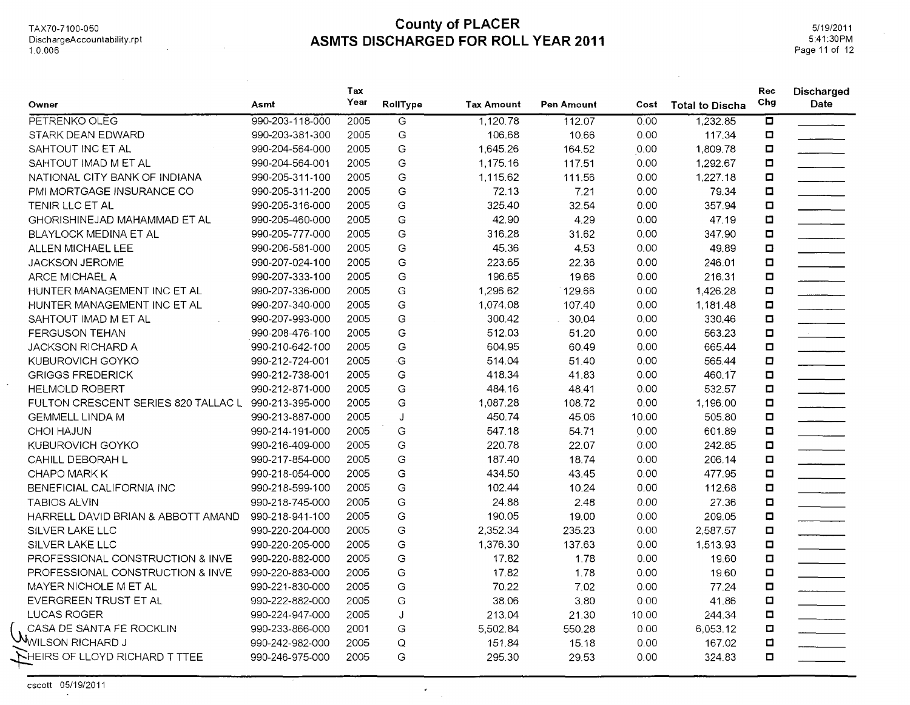$\mathcal{L}_{\mathcal{A}}$ 

#### TAX70-7100-050 **County of PLACER ASMTS DISCHARGED FOR ROLL YEAR 2011**

5/19/2011 5:41:30PM Page 11 of 12

| Owner                                               | Asmt            | Tax<br>Year | RollType | <b>Tax Amount</b> | Pen Amount | Cost  | <b>Total to Discha</b> | Rec<br>Chg | <b>Discharged</b><br>Date |
|-----------------------------------------------------|-----------------|-------------|----------|-------------------|------------|-------|------------------------|------------|---------------------------|
| PETRENKO OLEG                                       | 990-203-118-000 | 2005        | G        | 1,120.78          | 112.07     | 0.00  | 1,232.85               | ō          |                           |
| STARK DEAN EDWARD                                   | 990-203-381-300 | 2005        | G        | 106.68            | 10.66      | 0.00  | 117.34                 | O          |                           |
| SAHTOUT INC ET AL                                   | 990-204-564-000 | 2005        | G        | 1,645.26          | 164.52     | 0.00  | 1,809.78               | о          |                           |
| SAHTOUT IMAD M ET AL                                | 990-204-564-001 | 2005        | G        | 1,175.16          | 117.51     | 0.00  | 1,292.67               | □          |                           |
| NATIONAL CITY BANK OF INDIANA                       | 990-205-311-100 | 2005        | G        | 1,115.62          | 111.56     | 0.00  | 1,227.18               | α          |                           |
| PMI MORTGAGE INSURANCE CO                           | 990-205-311-200 | 2005        | G        | 72.13             | 7.21       | 0.00  | 79.34                  | $\Box$     |                           |
| TENIR LLC ET AL                                     | 990-205-316-000 | 2005        | G        | 325.40            | 32.54      | 0.00  | 357.94                 | $\Box$     |                           |
| GHORISHINEJAD MAHAMMAD ET AL                        | 990-205-460-000 | 2005        | G        | 42.90             | 4.29       | 0.00  | 47.19                  | O          |                           |
| <b>BLAYLOCK MEDINA ET AL</b>                        | 990-205-777-000 | 2005        | G        | 316.28            | 31.62      | 0.00  | 347.90                 | Ω          |                           |
| ALLEN MICHAEL LEE                                   | 990-206-581-000 | 2005        | G        | 45.36             | 4.53       | 0.00  | 49.89                  | o          |                           |
| <b>JACKSON JEROME</b>                               | 990-207-024-100 | 2005        | G        | 223.65            | 22.36      | 0.00  | 246.01                 | $\Box$     |                           |
| ARCE MICHAEL A                                      | 990-207-333-100 | 2005        | G        | 196.65            | 19.66      | 0.00  | 216.31                 | $\Box$     |                           |
| HUNTER MANAGEMENT INC ET AL                         | 990-207-336-000 | 2005        | G        | 1,296.62          | 129.66     | 0.00  | 1,426.28               | □          |                           |
| HUNTER MANAGEMENT INC ET AL                         | 990-207-340-000 | 2005        | G        | 1,074.08          | 107.40     | 0.00  | 1,181.48               | α          |                           |
| SAHTOUT IMAD M ET AL                                | 990-207-993-000 | 2005        | G        | 300.42            | 30.04      | 0.00  | 330.46                 | O          |                           |
| <b>FERGUSON TEHAN</b>                               | 990-208-476-100 | 2005        | G        | 512.03            | 51.20      | 0.00  | 563.23                 | $\Box$     |                           |
| <b>JACKSON RICHARD A</b>                            | 990-210-642-100 | 2005        | G        | 604.95            | 60.49      | 0.00  | 665.44                 | $\Box$     |                           |
| KUBUROVICH GOYKO                                    | 990-212-724-001 | 2005        | ٠G       | 514.04            | 51.40      | 0.00  | 565.44                 | О          |                           |
| <b>GRIGGS FREDERICK</b>                             | 990-212-738-001 | 2005        | G        | 418.34            | 41.83      | 0.00  | 460.17                 | O          |                           |
| <b>HELMOLD ROBERT</b>                               | 990-212-871-000 | 2005        | G        | 484.16            | 48.41      | 0.00  | 532.57                 | $\Box$     |                           |
| FULTON CRESCENT SERIES 820 TALLAC L 990-213-395-000 |                 | 2005        | G        | 1,087.28          | 108.72     | 0.00  | 1,196.00               | $\Box$     |                           |
| <b>GEMMELL LINDA M</b>                              | 990-213-887-000 | 2005        | J        | 450.74            | 45.06      | 10.00 | 505.80                 | $\Box$     |                           |
| <b>CHOI HAJUN</b>                                   | 990-214-191-000 | 2005        | G        | 547.18            | 54.71      | 0.00  | 601.89                 | $\Box$     |                           |
| KUBUROVICH GOYKO                                    | 990-216-409-000 | 2005        | G        | 220.78            | 22.07      | 0.00  | 242.85                 | $\Box$     |                           |
| CAHILL DEBORAH L                                    | 990-217-854-000 | 2005        | G        | 187.40            | 18.74      | 0.00  | 206.14                 | $\Box$     |                           |
| CHAPO MARK K                                        | 990-218-054-000 | 2005        | G        | 434.50            | 43.45      | 0.00  | 477.95                 | $\Box$     |                           |
| BENEFICIAL CALIFORNIA INC                           | 990-218-599-100 | 2005        | G        | 102.44            | 10.24      | 0.00  | 112.68                 | $\Box$     |                           |
| <b>TABIOS ALVIN</b>                                 | 990-218-745-000 | 2005        | G        | 24.88             | 2.48       | 0.00  | 27.36                  | O          |                           |
| HARRELL DAVID BRIAN & ABBOTT AMAND                  | 990-218-941-100 | 2005        | G        | 190.05            | 19.00      | 0.00  | 209.05                 | $\Box$     |                           |
| SILVER LAKE LLC                                     | 990-220-204-000 | 2005        | G        | 2,352.34          | 235.23     | 0.00  | 2,587.57               | $\Box$     |                           |
| <b>SILVER LAKE LLC</b>                              | 990-220-205-000 | 2005        | G        | 1,376.30          | 137.63     | 0.00  | 1,513.93               | $\Box$     |                           |
| PROFESSIONAL CONSTRUCTION & INVE                    | 990-220-882-000 | 2005        | G        | 17.82             | 1.78       | 0.00  | 19.60                  | O          |                           |
| PROFESSIONAL CONSTRUCTION & INVE                    | 990-220-883-000 | 2005        | G        | 17.82             | 1.78       | 0.00  | 19.60                  | $\Box$     |                           |
| MAYER NICHOLE M ET AL                               | 990-221-830-000 | 2005        | G        | 70.22             | 7.02       | 0.00  | 77.24                  | $\Box$     |                           |
| EVERGREEN TRUST ET AL                               | 990-222-882-000 | 2005        | G        | 38.06             | 3.80       | 0.00  | 41.86                  | $\Box$     |                           |
| <b>LUCAS ROGER</b>                                  | 990-224-947-000 | 2005        | J        | 213.04            | 21.30      | 10.00 | 244.34                 | $\Box$     |                           |
| CASA DE SANTA FE ROCKLIN                            | 990-233-866-000 | 2001        | G        | 5,502.84          | 550.28     | 0.00  | 6,053.12               | ۵          |                           |
| $\mathcal{N}_{\text{WILSON RICHARD J}}$             | 990-242-982-000 | 2005        | Q        | 151.84            | 15.18      | 0.00  | 167.02                 | ◘          |                           |
| <b>NHEIRS OF LLOYD RICHARD T TTEE</b>               | 990-246-975-000 | 2005        | G        | 295.30            | 29.53      | 0.00  | 324.83                 | $\Box$     |                           |

 $\mathcal{A}$ 

 $\mathcal{L}$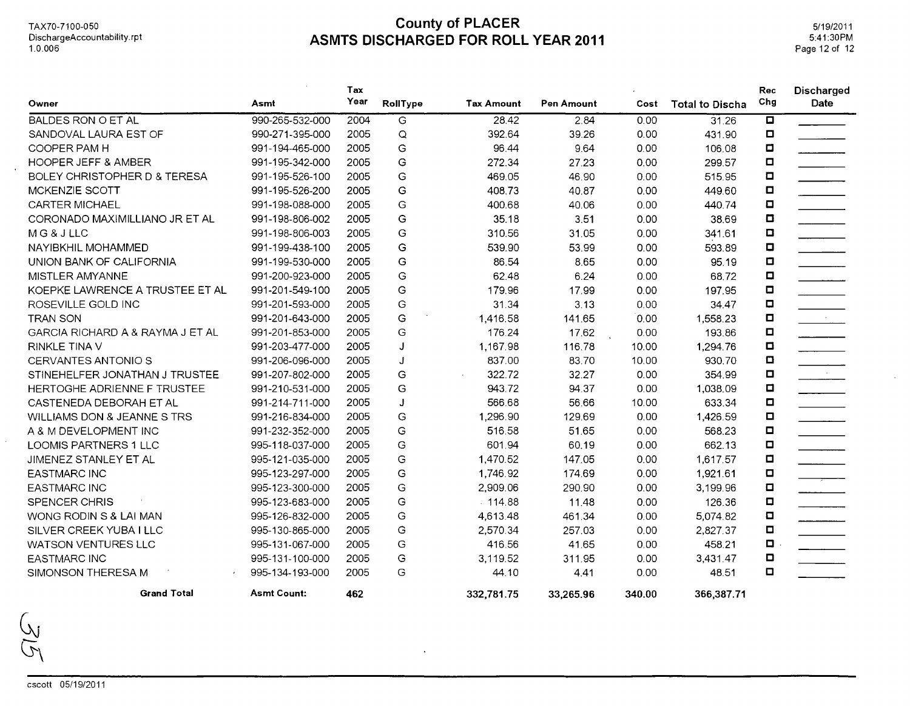$\ddot{\phantom{a}}$ 

 $\mathcal{L}_{\mathcal{A}}$ 

## **County of PLACER ASMTS DISCHARGED FOR ROLL YEAR 2011**

 $\sim$ 

|                                  |                    | Tax  |               |                   |            |        |                        | Rec    | Discharged                                     |
|----------------------------------|--------------------|------|---------------|-------------------|------------|--------|------------------------|--------|------------------------------------------------|
| Owner                            | Asmt               | Year | RollType      | <b>Tax Amount</b> | Pen Amount | Cost   | <b>Total to Discha</b> | Chg    | Date                                           |
| <b>BALDES RON O ET AL</b>        | 990-265-532-000    | 2004 | G             | 28.42             | 2.84       | 0.00   | 31.26                  | ο      |                                                |
| SANDOVAL LAURA EST OF            | 990-271-395-000    | 2005 | Q             | 392.64            | 39.26      | 0.00   | 431.90                 | ◘      |                                                |
| COOPER PAM H                     | 991-194-465-000    | 2005 | G             | 96.44             | 9.64       | 0.00   | 106.08                 | $\Box$ |                                                |
| <b>HOOPER JEFF &amp; AMBER</b>   | 991-195-342-000    | 2005 | G             | 272.34            | 27.23      | 0.00   | 299.57                 | O      |                                                |
| BOLEY CHRISTOPHER D & TERESA     | 991-195-526-100    | 2005 | G             | 469.05            | 46.90      | 0.00   | 515.95                 | $\Box$ |                                                |
| MCKENZIE SCOTT                   | 991-195-526-200    | 2005 | G             | 408.73            | 40.87      | 0.00   | 449.60                 | ◘      |                                                |
| <b>CARTER MICHAEL</b>            | 991-198-088-000    | 2005 | G             | 400.68            | 40.06      | 0.00   | 440.74                 | ο      |                                                |
| CORONADO MAXIMILLIANO JR ET AL   | 991-198-806-002    | 2005 | G             | 35.18             | 3.51       | 0.00   | 38.69                  | ◘      |                                                |
| MG&JLLC                          | 991-198-806-003    | 2005 | G             | 310.56            | 31.05      | 0.00   | 341.61                 | о      |                                                |
| NAYIBKHIL MOHAMMED               | 991-199-438-100    | 2005 | G             | 539.90            | 53.99      | 0.00   | 593.89                 | $\Box$ |                                                |
| UNION BANK OF CALIFORNIA         | 991-199-530-000    | 2005 | G             | 86.54             | 8.65       | 0.00   | 95.19                  | Ω      |                                                |
| MISTLER AMYANNE                  | 991-200-923-000    | 2005 | G             | 62.48             | 6.24       | 0.00   | 68.72                  | $\Box$ |                                                |
| KOEPKE LAWRENCE A TRUSTEE ET AL  | 991-201-549-100    | 2005 | G             | 179.96            | 17.99      | 0.00   | 197.95                 | $\Box$ |                                                |
| ROSEVILLE GOLD INC               | 991-201-593-000    | 2005 | G             | 31.34             | 3.13       | 0.00   | 34.47                  | $\Box$ |                                                |
| <b>TRAN SON</b>                  | 991-201-643-000    | 2005 | G             | 1,416.58          | 141.65     | 0.00   | 1,558.23               | ο      | $\mathcal{L} = \{ \mathcal{L} \}_{\text{max}}$ |
| GARCIA RICHARD A & RAYMA J ET AL | 991-201-853-000    | 2005 | G             | 176.24            | 17.62      | 0.00   | 193.86                 | $\Box$ |                                                |
| <b>RINKLE TINA V</b>             | 991-203-477-000    | 2005 | J             | 1,167.98          | 116.78     | 10.00  | 1,294.76               | о      |                                                |
| <b>CERVANTES ANTONIO S</b>       | 991-206-096-000    | 2005 | J             | 837.00            | 83.70      | 10.00  | 930.70                 | o      |                                                |
| STINEHELFER JONATHAN J TRUSTEE   | 991-207-802-000    | 2005 | G             | 322.72            | 32.27      | 0.00   | 354.99                 | о      | $\mathcal{L} = \mathcal{L}$                    |
| HERTOGHE ADRIENNE F TRUSTEE      | 991-210-531-000    | 2005 | G             | 943.72            | 94.37      | 0.00   | 1,038.09               | о      |                                                |
| CASTENEDA DEBORAH ET AL          | 991-214-711-000    | 2005 | J             | 566.68            | 56.66      | 10.00  | 633.34                 | ◘      |                                                |
| WILLIAMS DON & JEANNE S TRS      | 991-216-834-000    | 2005 | G             | 1,296.90          | 129.69     | 0.00   | 1,426.59               | ◘      |                                                |
| A & M DEVELOPMENT INC            | 991-232-352-000    | 2005 | G             | 516.58            | 51.65      | 0.00   | 568.23                 | $\Box$ |                                                |
| LOOMIS PARTNERS 1 LLC            | 995-118-037-000    | 2005 | G             | 601.94            | 60.19      | 0.00   | 662.13                 | $\Box$ |                                                |
| JIMENEZ STANLEY ET AL            | 995-121-035-000    | 2005 | G             | 1,470.52          | 147.05     | 0.00   | 1,617.57               | $\Box$ |                                                |
| <b>EASTMARC INC</b>              | 995-123-297-000    | 2005 | G             | 1,746.92          | 174.69     | 0.00   | 1,921.61               | $\Box$ |                                                |
| <b>EASTMARC INC</b>              | 995-123-300-000    | 2005 | G             | 2,909.06          | 290.90     | 0.00   | 3,199.96               | $\Box$ |                                                |
| SPENCER CHRIS                    | 995-123-683-000    | 2005 | G             | .114.88           | 11.48      | 0.00   | 126.36                 | $\Box$ |                                                |
| WONG RODIN S & LAI MAN           | 995-126-832-000    | 2005 | G             | 4,613.48          | 461.34     | 0.00   | 5,074.82               | O      |                                                |
| SILVER CREEK YUBA I LLC          | 995-130-865-000    | 2005 | G             | 2,570.34          | 257.03     | 0.00   | 2,827.37               | о      |                                                |
| <b>WATSON VENTURES LLC</b>       | 995-131-067-000    | 2005 | G             | 416.56            | 41.65      | 0.00   | 458.21                 | o      |                                                |
| <b>EASTMARC INC</b>              | 995-131-100-000    | 2005 | ${\mathsf G}$ | 3,119.52          | 311.95     | 0.00   | 3,431.47               | ◘      |                                                |
| SIMONSON THERESA M               | 995-134-193-000    | 2005 | G             | 44.10             | 4.41       | 0.00   | 48.51                  | $\Box$ |                                                |
| <b>Grand Total</b>               | <b>Asmt Count:</b> | 462  |               | 332,781.75        | 33.265.96  | 340.00 | 366,387.71             |        |                                                |

 $\sim$ 

J

W